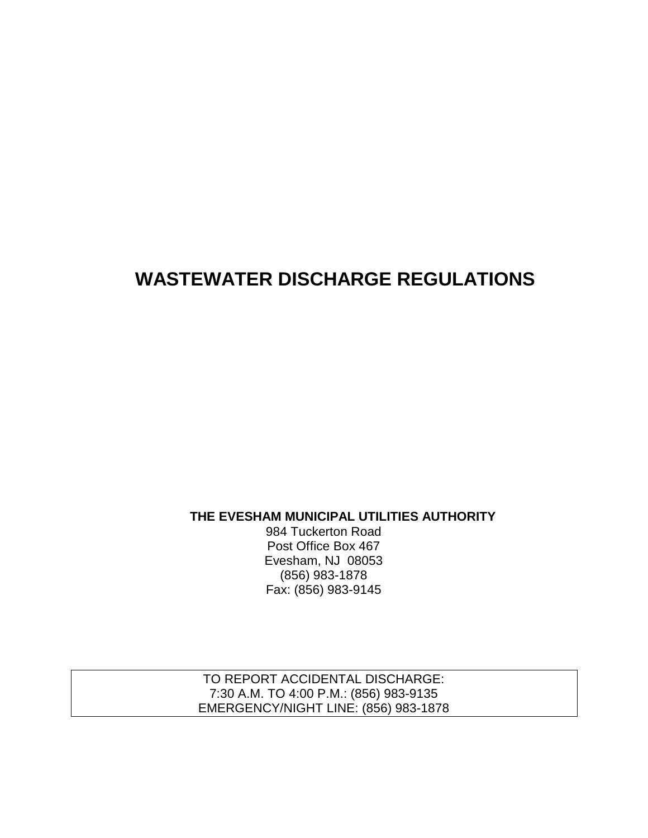# **WASTEWATER DISCHARGE REGULATIONS**

**THE EVESHAM MUNICIPAL UTILITIES AUTHORITY**

984 Tuckerton Road Post Office Box 467 Evesham, NJ 08053 (856) 983-1878 Fax: (856) 983-9145

TO REPORT ACCIDENTAL DISCHARGE: 7:30 A.M. TO 4:00 P.M.: (856) 983-9135 EMERGENCY/NIGHT LINE: (856) 983-1878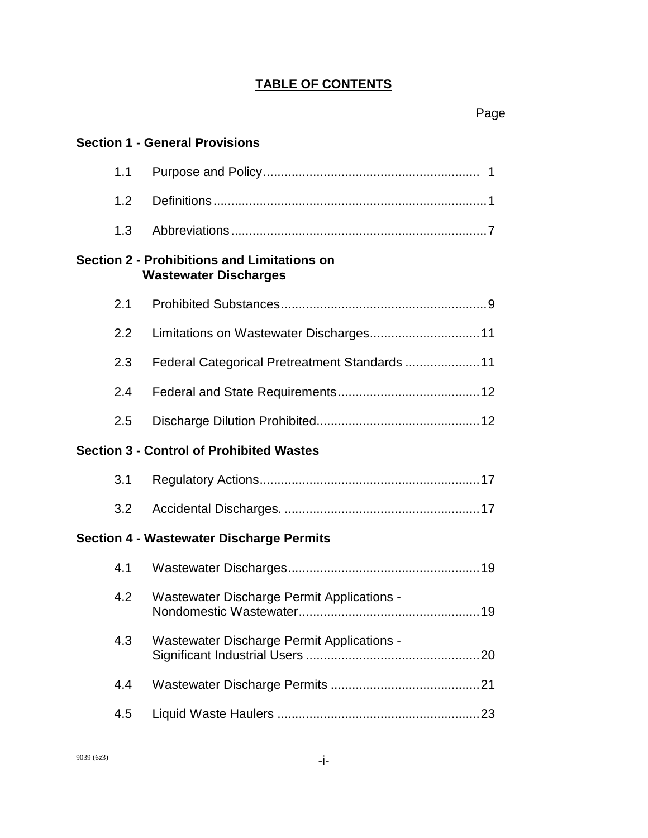# **TABLE OF CONTENTS**

|     | <b>Section 1 - General Provisions</b>                                              |  |
|-----|------------------------------------------------------------------------------------|--|
| 1.1 |                                                                                    |  |
| 1.2 |                                                                                    |  |
| 1.3 |                                                                                    |  |
|     | <b>Section 2 - Prohibitions and Limitations on</b><br><b>Wastewater Discharges</b> |  |
| 2.1 |                                                                                    |  |
| 2.2 | Limitations on Wastewater Discharges 11                                            |  |
| 2.3 | Federal Categorical Pretreatment Standards  11                                     |  |
| 2.4 |                                                                                    |  |
| 2.5 |                                                                                    |  |
|     | <b>Section 3 - Control of Prohibited Wastes</b>                                    |  |
| 3.1 |                                                                                    |  |
| 3.2 |                                                                                    |  |
|     | <b>Section 4 - Wastewater Discharge Permits</b>                                    |  |
| 4.1 |                                                                                    |  |
| 4.2 | Wastewater Discharge Permit Applications -                                         |  |
| 4.3 | <b>Wastewater Discharge Permit Applications -</b>                                  |  |
| 4.4 |                                                                                    |  |
| 4.5 |                                                                                    |  |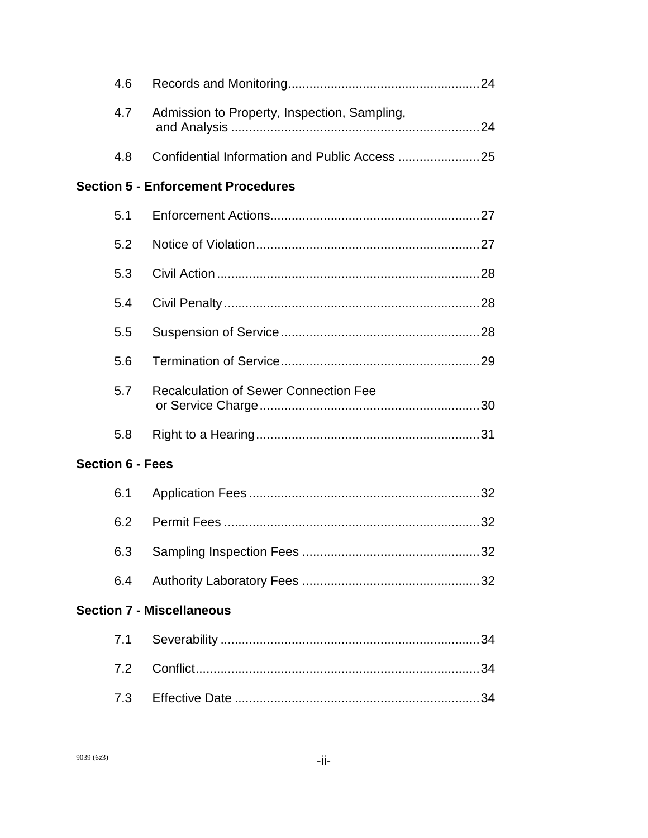| 4.6                     |                                              |  |
|-------------------------|----------------------------------------------|--|
| 4.7                     | Admission to Property, Inspection, Sampling, |  |
| 4.8                     |                                              |  |
|                         | <b>Section 5 - Enforcement Procedures</b>    |  |
| 5.1                     |                                              |  |
| 5.2                     |                                              |  |
| 5.3                     |                                              |  |
| 5.4                     |                                              |  |
| 5.5                     |                                              |  |
| 5.6                     |                                              |  |
| 5.7                     | <b>Recalculation of Sewer Connection Fee</b> |  |
| 5.8                     |                                              |  |
| <b>Section 6 - Fees</b> |                                              |  |
| 6.1                     |                                              |  |
| 6.2                     |                                              |  |
| 6.3                     |                                              |  |
| 6.4                     |                                              |  |
|                         | <b>Section 7 - Miscellaneous</b>             |  |
| 7.1                     |                                              |  |
| 7.2                     |                                              |  |
| 7.3                     |                                              |  |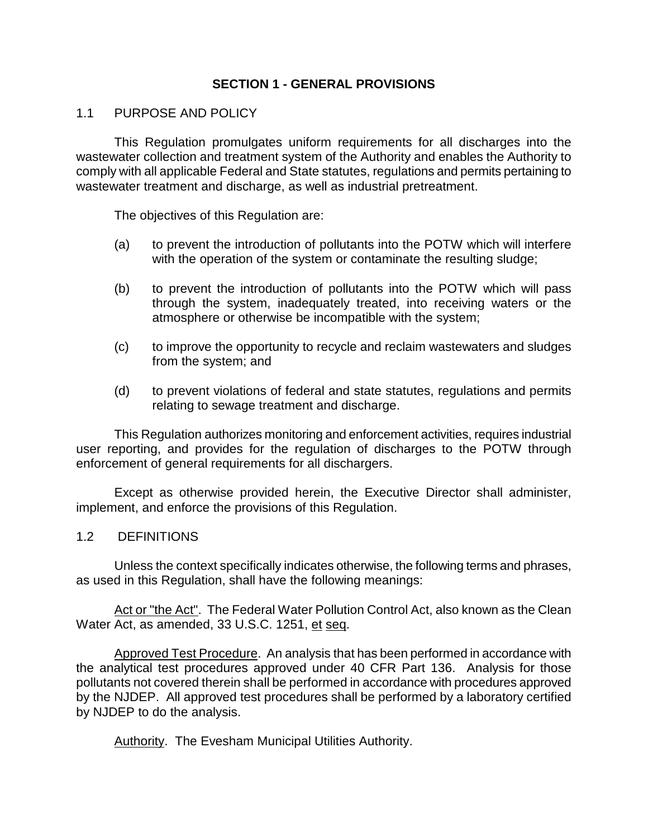# **SECTION 1 - GENERAL PROVISIONS**

# 1.1 PURPOSE AND POLICY

This Regulation promulgates uniform requirements for all discharges into the wastewater collection and treatment system of the Authority and enables the Authority to comply with all applicable Federal and State statutes, regulations and permits pertaining to wastewater treatment and discharge, as well as industrial pretreatment.

The objectives of this Regulation are:

- (a) to prevent the introduction of pollutants into the POTW which will interfere with the operation of the system or contaminate the resulting sludge;
- (b) to prevent the introduction of pollutants into the POTW which will pass through the system, inadequately treated, into receiving waters or the atmosphere or otherwise be incompatible with the system;
- (c) to improve the opportunity to recycle and reclaim wastewaters and sludges from the system; and
- (d) to prevent violations of federal and state statutes, regulations and permits relating to sewage treatment and discharge.

This Regulation authorizes monitoring and enforcement activities, requires industrial user reporting, and provides for the regulation of discharges to the POTW through enforcement of general requirements for all dischargers.

Except as otherwise provided herein, the Executive Director shall administer, implement, and enforce the provisions of this Regulation.

# 1.2 DEFINITIONS

Unless the context specifically indicates otherwise, the following terms and phrases, as used in this Regulation, shall have the following meanings:

Act or "the Act". The Federal Water Pollution Control Act, also known as the Clean Water Act, as amended, 33 U.S.C. 1251, et seq.

Approved Test Procedure. An analysis that has been performed in accordance with the analytical test procedures approved under 40 CFR Part 136. Analysis for those pollutants not covered therein shall be performed in accordance with procedures approved by the NJDEP. All approved test procedures shall be performed by a laboratory certified by NJDEP to do the analysis.

Authority. The Evesham Municipal Utilities Authority.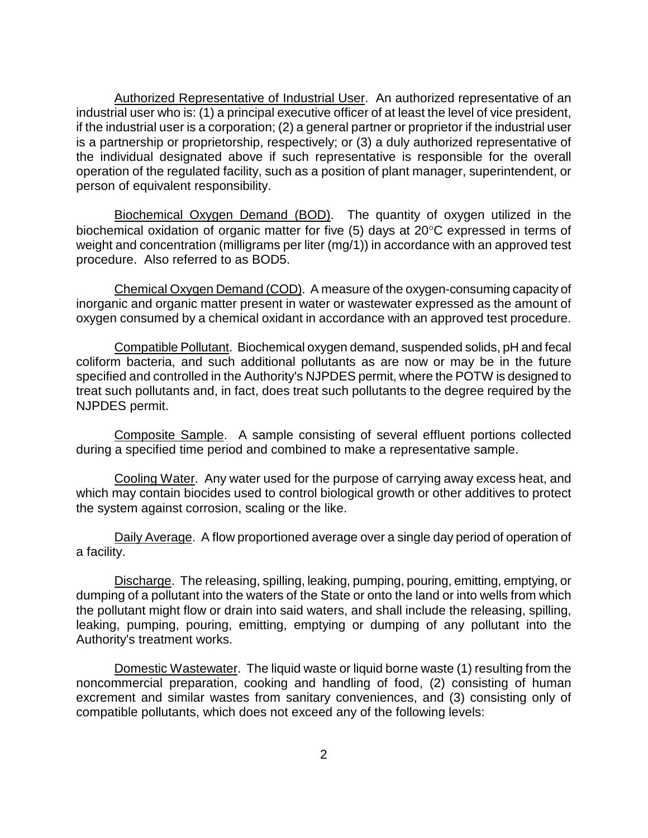Authorized Representative of Industrial User. An authorized representative of an industrial user who is: (1) a principal executive officer of at least the level of vice president, if the industrial user is a corporation; (2) a general partner or proprietor if the industrial user is a partnership or proprietorship, respectively; or (3) a duly authorized representative of the individual designated above if such representative is responsible for the overall operation of the regulated facility, such as a position of plant manager, superintendent, or person of equivalent responsibility.

Biochemical Oxygen Demand (BOD). The quantity of oxygen utilized in the biochemical oxidation of organic matter for five (5) days at 20°C expressed in terms of weight and concentration (milligrams per liter (mg/1)) in accordance with an approved test procedure. Also referred to as BOD5.

Chemical Oxygen Demand (COD). A measure of the oxygen-consuming capacity of inorganic and organic matter present in water or wastewater expressed as the amount of oxygen consumed by a chemical oxidant in accordance with an approved test procedure.

Compatible Pollutant. Biochemical oxygen demand, suspended solids, pH and fecal coliform bacteria, and such additional pollutants as are now or may be in the future specified and controlled in the Authority's NJPDES permit, where the POTW is designed to treat such pollutants and, in fact, does treat such pollutants to the degree required by the NJPDES permit.

Composite Sample. A sample consisting of several effluent portions collected during a specified time period and combined to make a representative sample.

Cooling Water. Any water used for the purpose of carrying away excess heat, and which may contain biocides used to control biological growth or other additives to protect the system against corrosion, scaling or the like.

Daily Average. A flow proportioned average over a single day period of operation of a facility.

Discharge. The releasing, spilling, leaking, pumping, pouring, emitting, emptying, or dumping of a pollutant into the waters of the State or onto the land or into wells from which the pollutant might flow or drain into said waters, and shall include the releasing, spilling, leaking, pumping, pouring, emitting, emptying or dumping of any pollutant into the Authority's treatment works.

Domestic Wastewater. The liquid waste or liquid borne waste (1) resulting from the noncommercial preparation, cooking and handling of food, (2) consisting of human excrement and similar wastes from sanitary conveniences, and (3) consisting only of compatible pollutants, which does not exceed any of the following levels: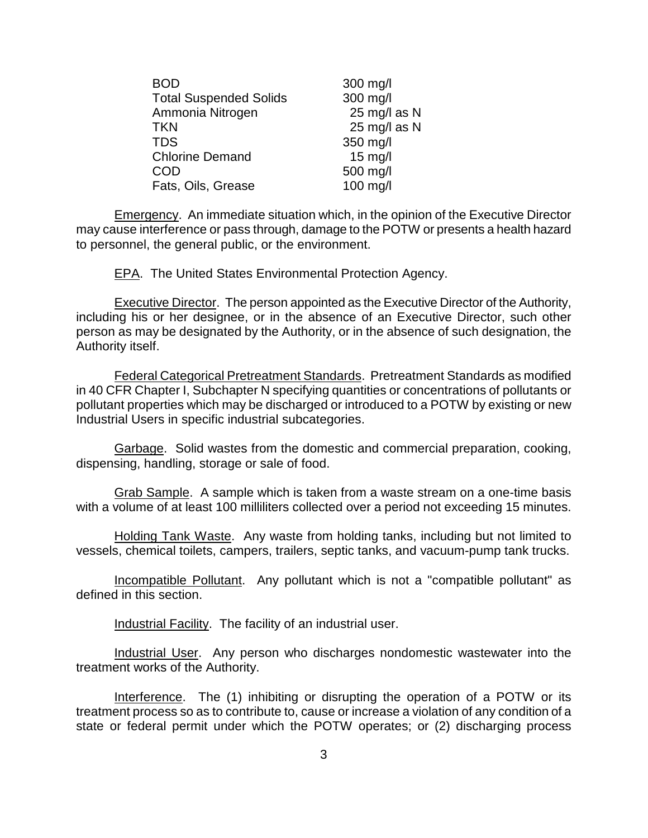| <b>BOD</b>                    | 300 mg/l     |
|-------------------------------|--------------|
| <b>Total Suspended Solids</b> | 300 mg/l     |
| Ammonia Nitrogen              | 25 mg/l as N |
| TKN                           | 25 mg/l as N |
| <b>TDS</b>                    | 350 mg/l     |
| <b>Chlorine Demand</b>        | $15$ mg/l    |
| COD                           | 500 mg/l     |
| Fats, Oils, Grease            | 100 mg/l     |

Emergency. An immediate situation which, in the opinion of the Executive Director may cause interference or pass through, damage to the POTW or presents a health hazard to personnel, the general public, or the environment.

**EPA.** The United States Environmental Protection Agency.

Executive Director. The person appointed as the Executive Director of the Authority, including his or her designee, or in the absence of an Executive Director, such other person as may be designated by the Authority, or in the absence of such designation, the Authority itself.

Federal Categorical Pretreatment Standards. Pretreatment Standards as modified in 40 CFR Chapter I, Subchapter N specifying quantities or concentrations of pollutants or pollutant properties which may be discharged or introduced to a POTW by existing or new Industrial Users in specific industrial subcategories.

Garbage. Solid wastes from the domestic and commercial preparation, cooking, dispensing, handling, storage or sale of food.

Grab Sample. A sample which is taken from a waste stream on a one-time basis with a volume of at least 100 milliliters collected over a period not exceeding 15 minutes.

Holding Tank Waste. Any waste from holding tanks, including but not limited to vessels, chemical toilets, campers, trailers, septic tanks, and vacuum-pump tank trucks.

Incompatible Pollutant. Any pollutant which is not a "compatible pollutant" as defined in this section.

Industrial Facility. The facility of an industrial user.

Industrial User. Any person who discharges nondomestic wastewater into the treatment works of the Authority.

Interference. The (1) inhibiting or disrupting the operation of a POTW or its treatment process so as to contribute to, cause or increase a violation of any condition of a state or federal permit under which the POTW operates; or (2) discharging process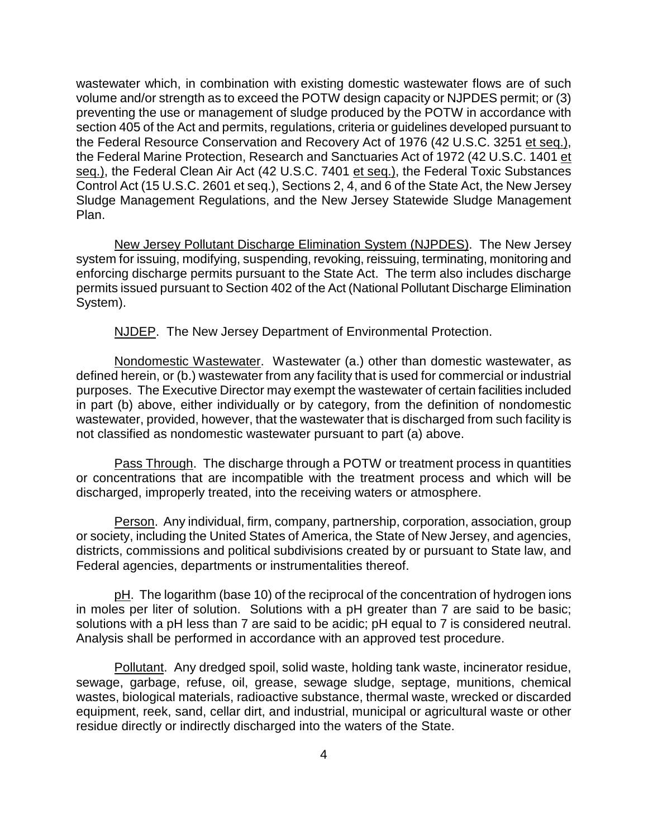wastewater which, in combination with existing domestic wastewater flows are of such volume and/or strength as to exceed the POTW design capacity or NJPDES permit; or (3) preventing the use or management of sludge produced by the POTW in accordance with section 405 of the Act and permits, regulations, criteria or guidelines developed pursuant to the Federal Resource Conservation and Recovery Act of 1976 (42 U.S.C. 3251 et seq.), the Federal Marine Protection, Research and Sanctuaries Act of 1972 (42 U.S.C. 1401 et seq.), the Federal Clean Air Act (42 U.S.C. 7401 et seq.), the Federal Toxic Substances Control Act (15 U.S.C. 2601 et seq.), Sections 2, 4, and 6 of the State Act, the New Jersey Sludge Management Regulations, and the New Jersey Statewide Sludge Management Plan.

New Jersey Pollutant Discharge Elimination System (NJPDES). The New Jersey system for issuing, modifying, suspending, revoking, reissuing, terminating, monitoring and enforcing discharge permits pursuant to the State Act. The term also includes discharge permits issued pursuant to Section 402 of the Act (National Pollutant Discharge Elimination System).

NJDEP. The New Jersey Department of Environmental Protection.

Nondomestic Wastewater. Wastewater (a.) other than domestic wastewater, as defined herein, or (b.) wastewater from any facility that is used for commercial or industrial purposes. The Executive Director may exempt the wastewater of certain facilities included in part (b) above, either individually or by category, from the definition of nondomestic wastewater, provided, however, that the wastewater that is discharged from such facility is not classified as nondomestic wastewater pursuant to part (a) above.

Pass Through. The discharge through a POTW or treatment process in quantities or concentrations that are incompatible with the treatment process and which will be discharged, improperly treated, into the receiving waters or atmosphere.

Person. Any individual, firm, company, partnership, corporation, association, group or society, including the United States of America, the State of New Jersey, and agencies, districts, commissions and political subdivisions created by or pursuant to State law, and Federal agencies, departments or instrumentalities thereof.

pH. The logarithm (base 10) of the reciprocal of the concentration of hydrogen ions in moles per liter of solution. Solutions with a pH greater than 7 are said to be basic; solutions with a pH less than 7 are said to be acidic; pH equal to 7 is considered neutral. Analysis shall be performed in accordance with an approved test procedure.

Pollutant. Any dredged spoil, solid waste, holding tank waste, incinerator residue, sewage, garbage, refuse, oil, grease, sewage sludge, septage, munitions, chemical wastes, biological materials, radioactive substance, thermal waste, wrecked or discarded equipment, reek, sand, cellar dirt, and industrial, municipal or agricultural waste or other residue directly or indirectly discharged into the waters of the State.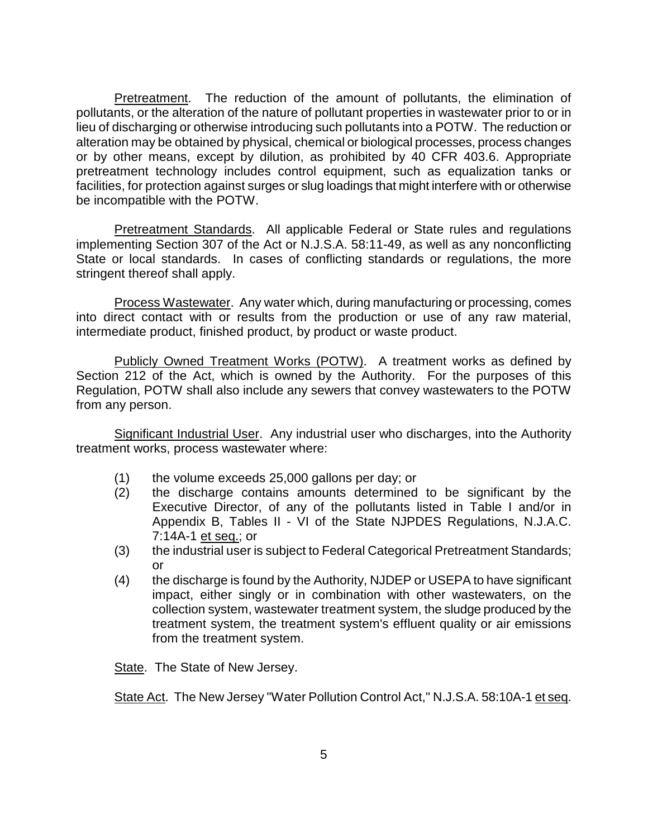Pretreatment. The reduction of the amount of pollutants, the elimination of pollutants, or the alteration of the nature of pollutant properties in wastewater prior to or in lieu of discharging or otherwise introducing such pollutants into a POTW. The reduction or alteration may be obtained by physical, chemical or biological processes, process changes or by other means, except by dilution, as prohibited by 40 CFR 403.6. Appropriate pretreatment technology includes control equipment, such as equalization tanks or facilities, for protection against surges or slug loadings that might interfere with or otherwise be incompatible with the POTW.

**Pretreatment Standards.** All applicable Federal or State rules and regulations implementing Section 307 of the Act or N.J.S.A. 58:11-49, as well as any nonconflicting State or local standards. In cases of conflicting standards or regulations, the more stringent thereof shall apply.

Process Wastewater. Any water which, during manufacturing or processing, comes into direct contact with or results from the production or use of any raw material, intermediate product, finished product, by product or waste product.

Publicly Owned Treatment Works (POTW). A treatment works as defined by Section 212 of the Act, which is owned by the Authority. For the purposes of this Regulation, POTW shall also include any sewers that convey wastewaters to the POTW from any person.

Significant Industrial User. Any industrial user who discharges, into the Authority treatment works, process wastewater where:

- (1) the volume exceeds 25,000 gallons per day; or
- (2) the discharge contains amounts determined to be significant by the Executive Director, of any of the pollutants listed in Table I and/or in Appendix B, Tables II - VI of the State NJPDES Regulations, N.J.A.C. 7:14A-1 et seq.; or
- (3) the industrial user is subject to Federal Categorical Pretreatment Standards; or
- (4) the discharge is found by the Authority, NJDEP or USEPA to have significant impact, either singly or in combination with other wastewaters, on the collection system, wastewater treatment system, the sludge produced by the treatment system, the treatment system's effluent quality or air emissions from the treatment system.

State. The State of New Jersey.

State Act. The New Jersey "Water Pollution Control Act," N.J.S.A. 58:10A-1 et seq.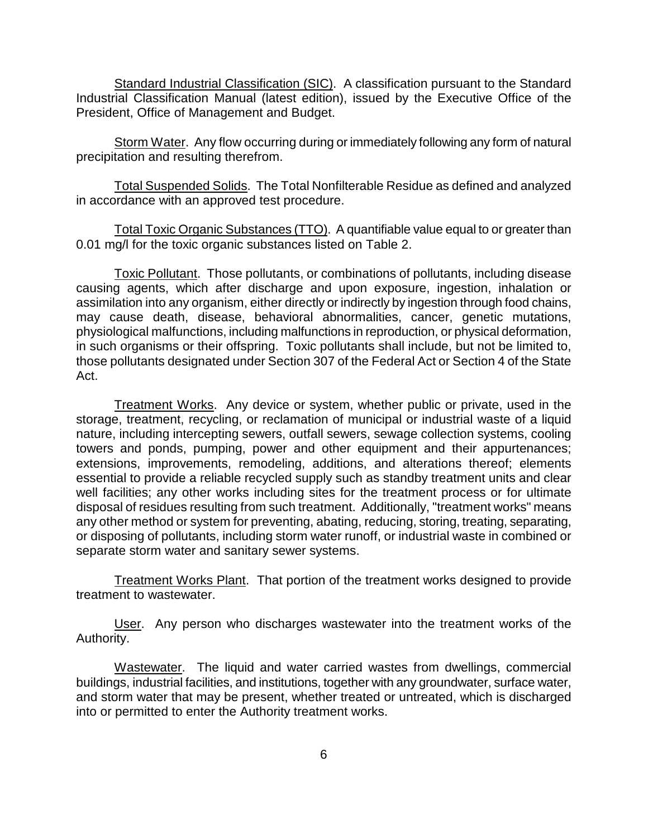Standard Industrial Classification (SIC). A classification pursuant to the Standard Industrial Classification Manual (latest edition), issued by the Executive Office of the President, Office of Management and Budget.

Storm Water. Any flow occurring during or immediately following any form of natural precipitation and resulting therefrom.

Total Suspended Solids. The Total Nonfilterable Residue as defined and analyzed in accordance with an approved test procedure.

Total Toxic Organic Substances (TTO). A quantifiable value equal to or greater than 0.01 mg/l for the toxic organic substances listed on Table 2.

Toxic Pollutant. Those pollutants, or combinations of pollutants, including disease causing agents, which after discharge and upon exposure, ingestion, inhalation or assimilation into any organism, either directly or indirectly by ingestion through food chains, may cause death, disease, behavioral abnormalities, cancer, genetic mutations, physiological malfunctions, including malfunctions in reproduction, or physical deformation, in such organisms or their offspring. Toxic pollutants shall include, but not be limited to, those pollutants designated under Section 307 of the Federal Act or Section 4 of the State Act.

Treatment Works. Any device or system, whether public or private, used in the storage, treatment, recycling, or reclamation of municipal or industrial waste of a liquid nature, including intercepting sewers, outfall sewers, sewage collection systems, cooling towers and ponds, pumping, power and other equipment and their appurtenances; extensions, improvements, remodeling, additions, and alterations thereof; elements essential to provide a reliable recycled supply such as standby treatment units and clear well facilities; any other works including sites for the treatment process or for ultimate disposal of residues resulting from such treatment. Additionally, "treatment works" means any other method or system for preventing, abating, reducing, storing, treating, separating, or disposing of pollutants, including storm water runoff, or industrial waste in combined or separate storm water and sanitary sewer systems.

Treatment Works Plant. That portion of the treatment works designed to provide treatment to wastewater.

User. Any person who discharges wastewater into the treatment works of the Authority.

Wastewater. The liquid and water carried wastes from dwellings, commercial buildings, industrial facilities, and institutions, together with any groundwater, surface water, and storm water that may be present, whether treated or untreated, which is discharged into or permitted to enter the Authority treatment works.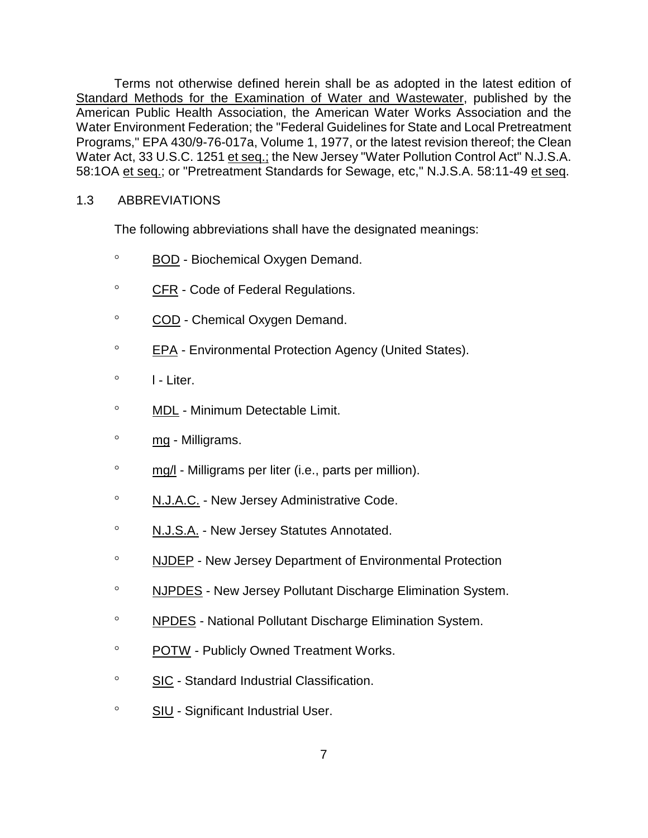Terms not otherwise defined herein shall be as adopted in the latest edition of Standard Methods for the Examination of Water and Wastewater, published by the American Public Health Association, the American Water Works Association and the Water Environment Federation; the "Federal Guidelines for State and Local Pretreatment Programs," EPA 430/9-76-017a, Volume 1, 1977, or the latest revision thereof; the Clean Water Act, 33 U.S.C. 1251 et seq.; the New Jersey "Water Pollution Control Act" N.J.S.A. 58:1OA et seq.; or "Pretreatment Standards for Sewage, etc," N.J.S.A. 58:11-49 et seq.

# 1.3 ABBREVIATIONS

The following abbreviations shall have the designated meanings:

- ° BOD Biochemical Oxygen Demand.
- ° CFR Code of Federal Regulations.
- ° COD Chemical Oxygen Demand.
- ° EPA Environmental Protection Agency (United States).
- $\circ$  I Liter.
- ° MDL Minimum Detectable Limit.
- ° mg Milligrams.
- ° mg/l Milligrams per liter (i.e., parts per million).
- ° N.J.A.C. New Jersey Administrative Code.
- ° N.J.S.A. New Jersey Statutes Annotated.
- ° NJDEP New Jersey Department of Environmental Protection
- ° NJPDES New Jersey Pollutant Discharge Elimination System.
- ° NPDES National Pollutant Discharge Elimination System.
- ° POTW Publicly Owned Treatment Works.
- ° SIC Standard Industrial Classification.
- ° SIU Significant Industrial User.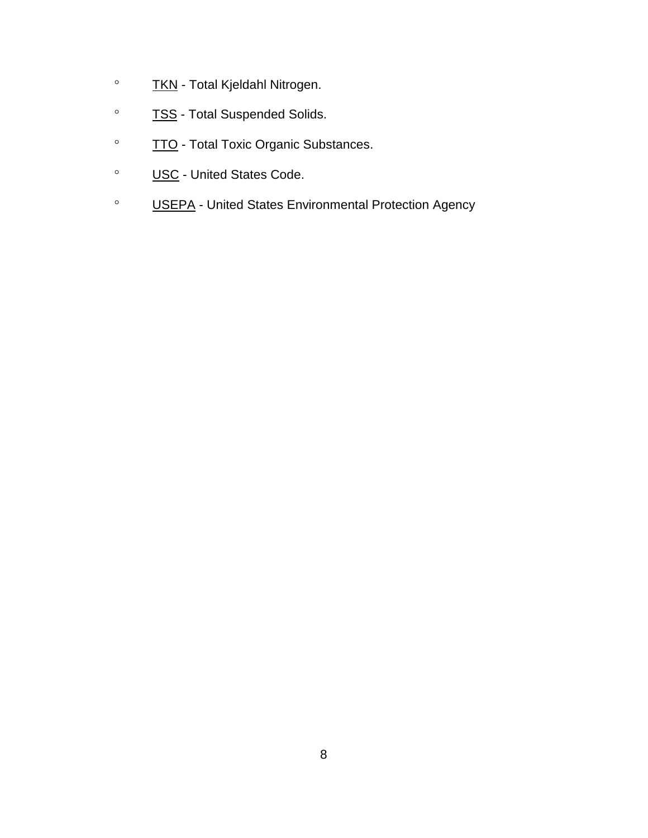- ° TKN Total Kjeldahl Nitrogen.
- ° TSS Total Suspended Solids.
- ° TTO Total Toxic Organic Substances.
- ° USC United States Code.
- ° USEPA United States Environmental Protection Agency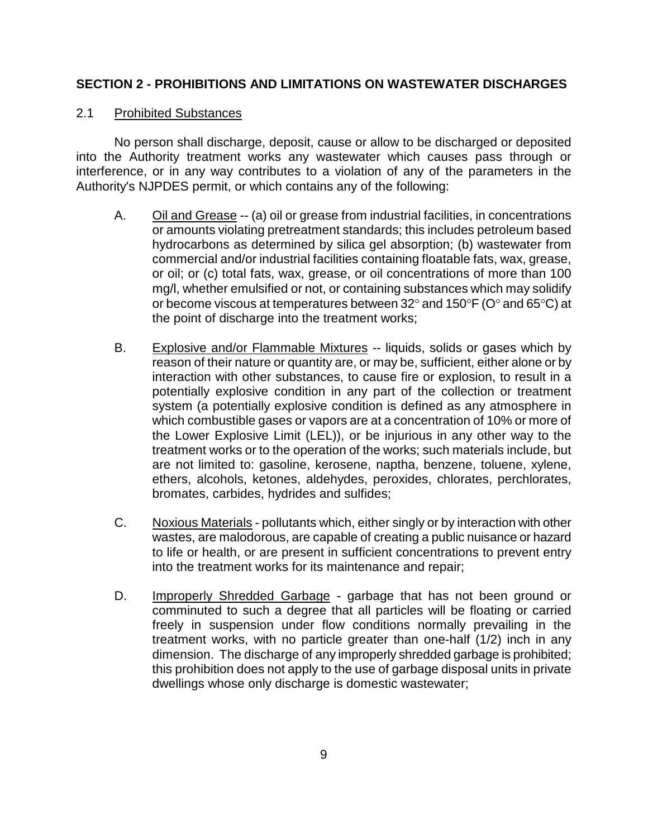# **SECTION 2 - PROHIBITIONS AND LIMITATIONS ON WASTEWATER DISCHARGES**

# 2.1 Prohibited Substances

No person shall discharge, deposit, cause or allow to be discharged or deposited into the Authority treatment works any wastewater which causes pass through or interference, or in any way contributes to a violation of any of the parameters in the Authority's NJPDES permit, or which contains any of the following:

- A. Oil and Grease -- (a) oil or grease from industrial facilities, in concentrations or amounts violating pretreatment standards; this includes petroleum based hydrocarbons as determined by silica gel absorption; (b) wastewater from commercial and/or industrial facilities containing floatable fats, wax, grease, or oil; or (c) total fats, wax, grease, or oil concentrations of more than 100 mg/l, whether emulsified or not, or containing substances which may solidify or become viscous at temperatures between 32° and 150°F (O° and 65°C) at the point of discharge into the treatment works;
- B. Explosive and/or Flammable Mixtures -- liquids, solids or gases which by reason of their nature or quantity are, or may be, sufficient, either alone or by interaction with other substances, to cause fire or explosion, to result in a potentially explosive condition in any part of the collection or treatment system (a potentially explosive condition is defined as any atmosphere in which combustible gases or vapors are at a concentration of 10% or more of the Lower Explosive Limit (LEL)), or be injurious in any other way to the treatment works or to the operation of the works; such materials include, but are not limited to: gasoline, kerosene, naptha, benzene, toluene, xylene, ethers, alcohols, ketones, aldehydes, peroxides, chlorates, perchlorates, bromates, carbides, hydrides and sulfides;
- C. Noxious Materials pollutants which, either singly or by interaction with other wastes, are malodorous, are capable of creating a public nuisance or hazard to life or health, or are present in sufficient concentrations to prevent entry into the treatment works for its maintenance and repair;
- D. Improperly Shredded Garbage garbage that has not been ground or comminuted to such a degree that all particles will be floating or carried freely in suspension under flow conditions normally prevailing in the treatment works, with no particle greater than one-half (1/2) inch in any dimension. The discharge of any improperly shredded garbage is prohibited; this prohibition does not apply to the use of garbage disposal units in private dwellings whose only discharge is domestic wastewater;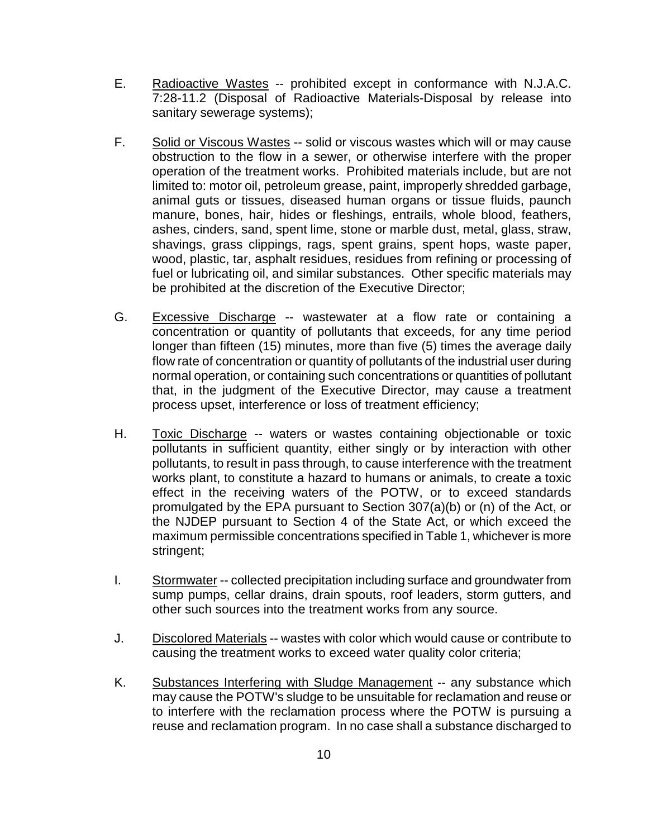- E. Radioactive Wastes -- prohibited except in conformance with N.J.A.C. 7:28-11.2 (Disposal of Radioactive Materials-Disposal by release into sanitary sewerage systems);
- F. Solid or Viscous Wastes -- solid or viscous wastes which will or may cause obstruction to the flow in a sewer, or otherwise interfere with the proper operation of the treatment works. Prohibited materials include, but are not limited to: motor oil, petroleum grease, paint, improperly shredded garbage, animal guts or tissues, diseased human organs or tissue fluids, paunch manure, bones, hair, hides or fleshings, entrails, whole blood, feathers, ashes, cinders, sand, spent lime, stone or marble dust, metal, glass, straw, shavings, grass clippings, rags, spent grains, spent hops, waste paper, wood, plastic, tar, asphalt residues, residues from refining or processing of fuel or lubricating oil, and similar substances. Other specific materials may be prohibited at the discretion of the Executive Director;
- G. Excessive Discharge -- wastewater at a flow rate or containing a concentration or quantity of pollutants that exceeds, for any time period longer than fifteen (15) minutes, more than five (5) times the average daily flow rate of concentration or quantity of pollutants of the industrial user during normal operation, or containing such concentrations or quantities of pollutant that, in the judgment of the Executive Director, may cause a treatment process upset, interference or loss of treatment efficiency;
- H. Toxic Discharge -- waters or wastes containing objectionable or toxic pollutants in sufficient quantity, either singly or by interaction with other pollutants, to result in pass through, to cause interference with the treatment works plant, to constitute a hazard to humans or animals, to create a toxic effect in the receiving waters of the POTW, or to exceed standards promulgated by the EPA pursuant to Section 307(a)(b) or (n) of the Act, or the NJDEP pursuant to Section 4 of the State Act, or which exceed the maximum permissible concentrations specified in Table 1, whichever is more stringent;
- I. Stormwater -- collected precipitation including surface and groundwater from sump pumps, cellar drains, drain spouts, roof leaders, storm gutters, and other such sources into the treatment works from any source.
- J. Discolored Materials -- wastes with color which would cause or contribute to causing the treatment works to exceed water quality color criteria;
- K. Substances Interfering with Sludge Management -- any substance which may cause the POTW's sludge to be unsuitable for reclamation and reuse or to interfere with the reclamation process where the POTW is pursuing a reuse and reclamation program. In no case shall a substance discharged to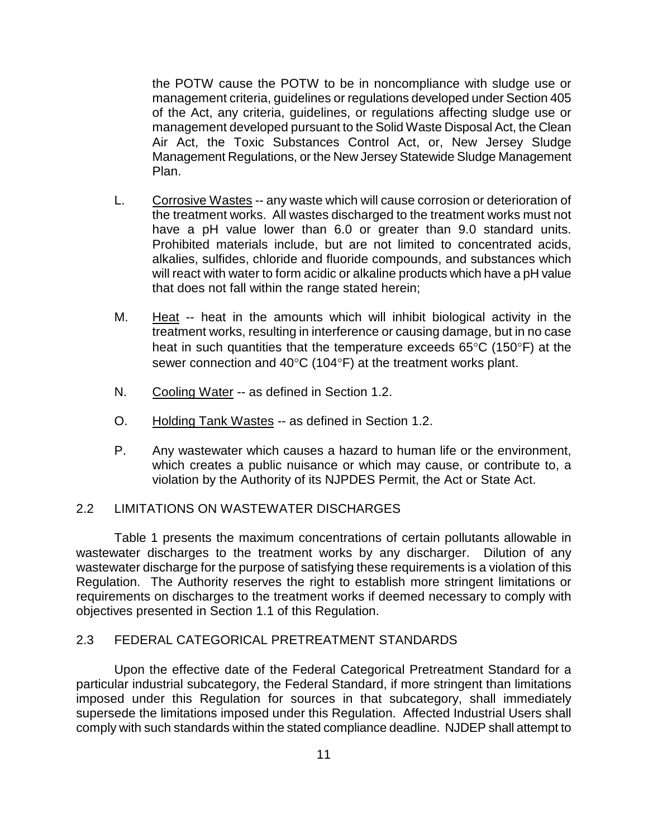the POTW cause the POTW to be in noncompliance with sludge use or management criteria, guidelines or regulations developed under Section 405 of the Act, any criteria, guidelines, or regulations affecting sludge use or management developed pursuant to the Solid Waste Disposal Act, the Clean Air Act, the Toxic Substances Control Act, or, New Jersey Sludge Management Regulations, or the New Jersey Statewide Sludge Management Plan.

- L. Corrosive Wastes -- any waste which will cause corrosion or deterioration of the treatment works. All wastes discharged to the treatment works must not have a pH value lower than 6.0 or greater than 9.0 standard units. Prohibited materials include, but are not limited to concentrated acids, alkalies, sulfides, chloride and fluoride compounds, and substances which will react with water to form acidic or alkaline products which have a pH value that does not fall within the range stated herein;
- M. Heat -- heat in the amounts which will inhibit biological activity in the treatment works, resulting in interference or causing damage, but in no case heat in such quantities that the temperature exceeds 65°C (150°F) at the sewer connection and 40°C (104°F) at the treatment works plant.
- N. Cooling Water -- as defined in Section 1.2.
- O. Holding Tank Wastes -- as defined in Section 1.2.
- P. Any wastewater which causes a hazard to human life or the environment, which creates a public nuisance or which may cause, or contribute to, a violation by the Authority of its NJPDES Permit, the Act or State Act.

#### 2.2 LIMITATIONS ON WASTEWATER DISCHARGES

Table 1 presents the maximum concentrations of certain pollutants allowable in wastewater discharges to the treatment works by any discharger. Dilution of any wastewater discharge for the purpose of satisfying these requirements is a violation of this Regulation. The Authority reserves the right to establish more stringent limitations or requirements on discharges to the treatment works if deemed necessary to comply with objectives presented in Section 1.1 of this Regulation.

# 2.3 FEDERAL CATEGORICAL PRETREATMENT STANDARDS

Upon the effective date of the Federal Categorical Pretreatment Standard for a particular industrial subcategory, the Federal Standard, if more stringent than limitations imposed under this Regulation for sources in that subcategory, shall immediately supersede the limitations imposed under this Regulation. Affected Industrial Users shall comply with such standards within the stated compliance deadline. NJDEP shall attempt to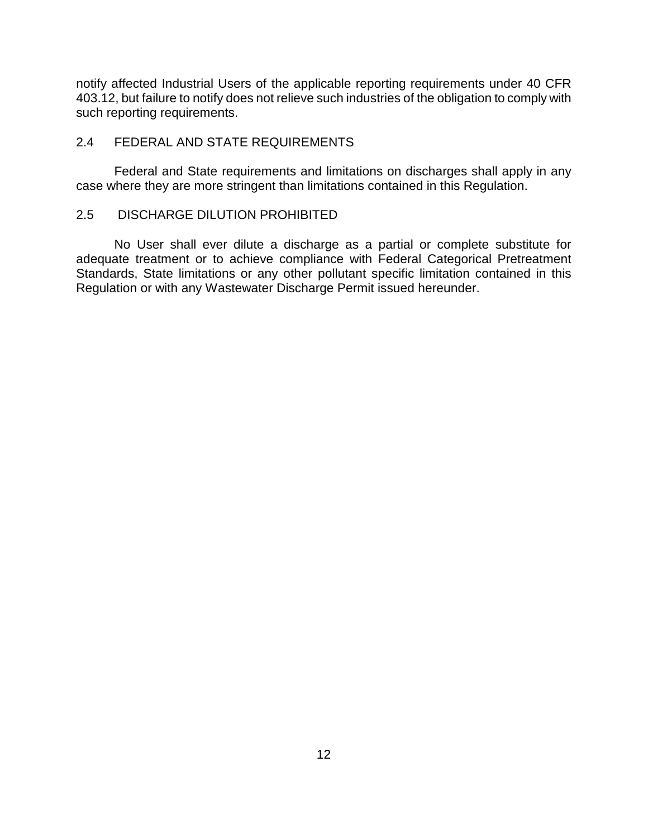notify affected Industrial Users of the applicable reporting requirements under 40 CFR 403.12, but failure to notify does not relieve such industries of the obligation to comply with such reporting requirements.

#### 2.4 FEDERAL AND STATE REQUIREMENTS

Federal and State requirements and limitations on discharges shall apply in any case where they are more stringent than limitations contained in this Regulation.

#### 2.5 DISCHARGE DILUTION PROHIBITED

No User shall ever dilute a discharge as a partial or complete substitute for adequate treatment or to achieve compliance with Federal Categorical Pretreatment Standards, State limitations or any other pollutant specific limitation contained in this Regulation or with any Wastewater Discharge Permit issued hereunder.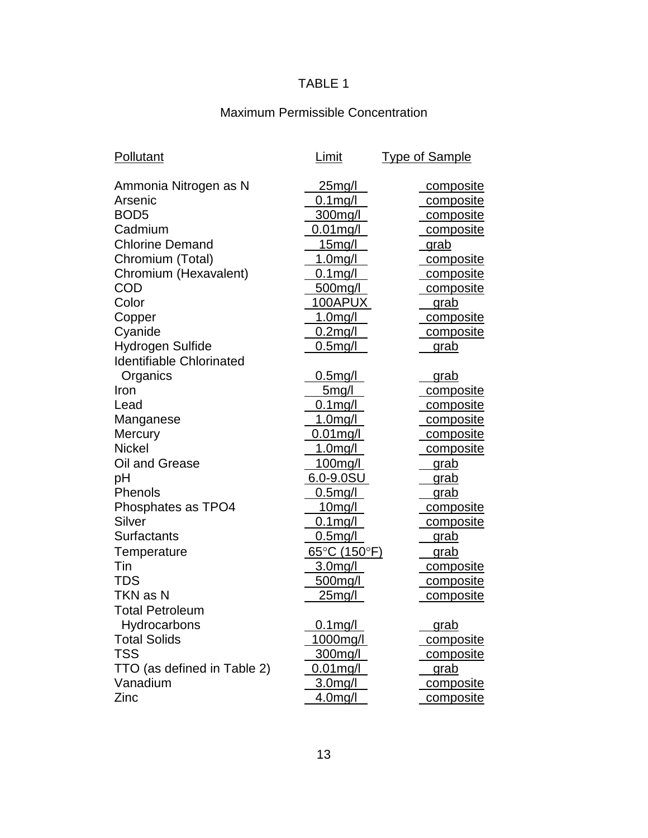# TABLE 1

# Maximum Permissible Concentration

| Pollutant                       | Limit                             | <b>Type of Sample</b> |
|---------------------------------|-----------------------------------|-----------------------|
| Ammonia Nitrogen as N           | <u>25mg/l</u>                     | composite             |
| Arsenic                         | $0.1$ mg/l                        | composite             |
| BOD <sub>5</sub>                | <u>300mg/l</u>                    | composite             |
| Cadmium                         | $0.01$ mg/l                       | composite             |
| <b>Chlorine Demand</b>          | 15 <sub>mg</sub> /l               | grab                  |
| Chromium (Total)                | $1.0$ mg/l                        | <u>composite</u>      |
| Chromium (Hexavalent)           | $0.1$ mg/l                        | composite             |
| COD                             | 500mg/l                           | composite             |
| Color                           | 100APUX                           | <u>grab</u>           |
| Copper                          | <u>1.0mg/l</u>                    | composite             |
| Cyanide                         | $0.2$ mg/l                        | composite             |
| Hydrogen Sulfide                | 0.5mg/l                           | grab                  |
| <b>Identifiable Chlorinated</b> |                                   |                       |
| Organics                        | 0.5mg/l                           | <u>grab</u>           |
| Iron                            | 5 <sub>m</sub> g/l                | composite             |
| Lead                            | $0.1$ mg/l                        | composite             |
| Manganese                       | 1.0mg/l                           | composite             |
| Mercury                         | $0.01$ mg/l                       | composite             |
| <b>Nickel</b>                   | 1.0mg/l                           | composite             |
| Oil and Grease                  | 100mg/l                           | <u>grab</u>           |
| рH                              | 6.0-9.0SU                         | grab                  |
| Phenols                         | 0.5mg/l                           | grab                  |
| Phosphates as TPO4              | <u>10mg/l</u>                     | composite             |
| Silver                          | $0.1$ mg/l                        | composite             |
| Surfactants                     | $0.5$ mg/l                        | grab                  |
| Temperature                     | $65^{\circ}$ C (150 $^{\circ}$ F) | <u>grab</u>           |
| Tin                             | 3.0mg/l                           | composite             |
| TDS                             | 500mg/l                           | composite             |
| TKN as N                        | <u>25mg/l</u>                     | composite             |
| <b>Total Petroleum</b>          |                                   |                       |
| Hydrocarbons                    | $0.1$ mg/l                        | grab                  |
| <b>Total Solids</b>             | 1000mg/l                          | composite             |
| TSS                             | <u>300mg/l</u>                    | <u>composite</u>      |
| TTO (as defined in Table 2)     | $0.01$ mg/l                       | grab                  |
| Vanadium                        | 3.0mg/l                           | composite             |
| Zinc                            | 4.0mg/l                           | composite             |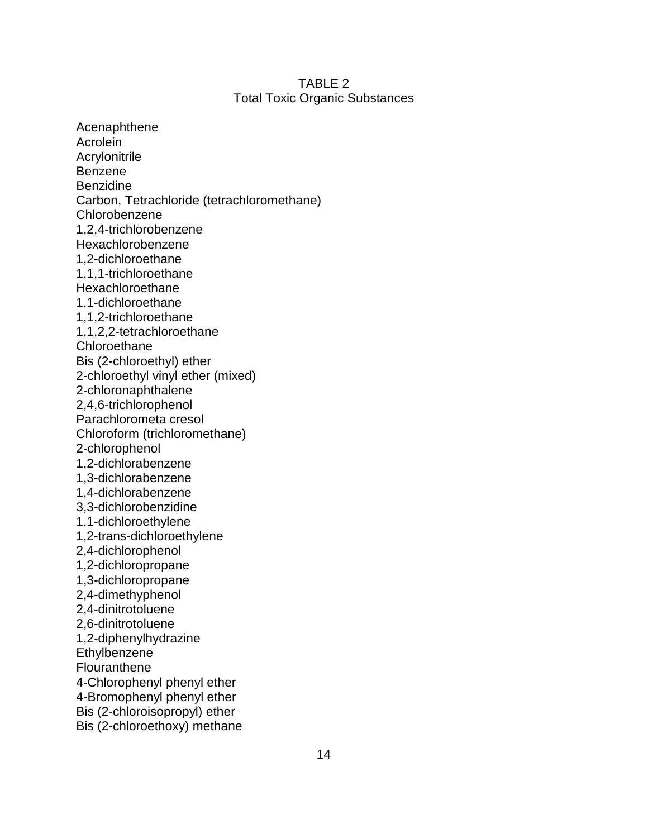#### TABLE 2 Total Toxic Organic Substances

Acenaphthene Acrolein Acrylonitrile Benzene Benzidine Carbon, Tetrachloride (tetrachloromethane) Chlorobenzene 1,2,4-trichlorobenzene Hexachlorobenzene 1,2-dichloroethane 1,1,1-trichloroethane Hexachloroethane 1,1-dichloroethane 1,1,2-trichloroethane 1,1,2,2-tetrachloroethane **Chloroethane** Bis (2-chloroethyl) ether 2-chloroethyl vinyl ether (mixed) 2-chloronaphthalene 2,4,6-trichlorophenol Parachlorometa cresol Chloroform (trichloromethane) 2-chlorophenol 1,2-dichlorabenzene 1,3-dichlorabenzene 1,4-dichlorabenzene 3,3-dichlorobenzidine 1,1-dichloroethylene 1,2-trans-dichloroethylene 2,4-dichlorophenol 1,2-dichloropropane 1,3-dichloropropane 2,4-dimethyphenol 2,4-dinitrotoluene 2,6-dinitrotoluene 1,2-diphenylhydrazine **Ethylbenzene Flouranthene** 4-Chlorophenyl phenyl ether 4-Bromophenyl phenyl ether Bis (2-chloroisopropyl) ether Bis (2-chloroethoxy) methane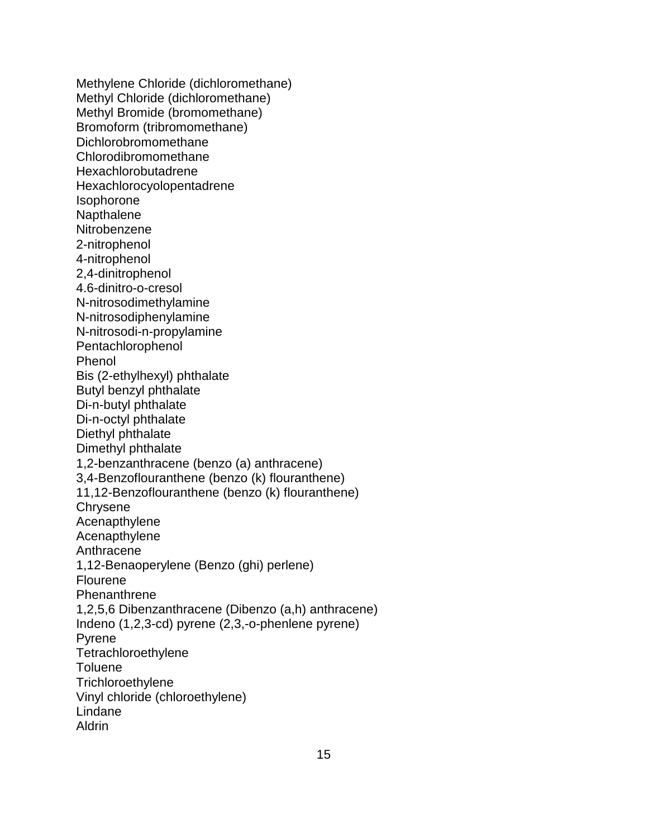Methylene Chloride (dichloromethane) Methyl Chloride (dichloromethane) Methyl Bromide (bromomethane) Bromoform (tribromomethane) Dichlorobromomethane Chlorodibromomethane Hexachlorobutadrene Hexachlorocyolopentadrene Isophorone **Napthalene Nitrobenzene** 2-nitrophenol 4-nitrophenol 2,4-dinitrophenol 4.6-dinitro-o-cresol N-nitrosodimethylamine N-nitrosodiphenylamine N-nitrosodi-n-propylamine Pentachlorophenol Phenol Bis (2-ethylhexyl) phthalate Butyl benzyl phthalate Di-n-butyl phthalate Di-n-octyl phthalate Diethyl phthalate Dimethyl phthalate 1,2-benzanthracene (benzo (a) anthracene) 3,4-Benzoflouranthene (benzo (k) flouranthene) 11,12-Benzoflouranthene (benzo (k) flouranthene) **Chrysene** Acenapthylene **Acenapthylene** Anthracene 1,12-Benaoperylene (Benzo (ghi) perlene) Flourene **Phenanthrene** 1,2,5,6 Dibenzanthracene (Dibenzo (a,h) anthracene) Indeno (1,2,3-cd) pyrene (2,3,-o-phenlene pyrene) Pyrene **Tetrachloroethylene Toluene Trichloroethylene** Vinyl chloride (chloroethylene) Lindane Aldrin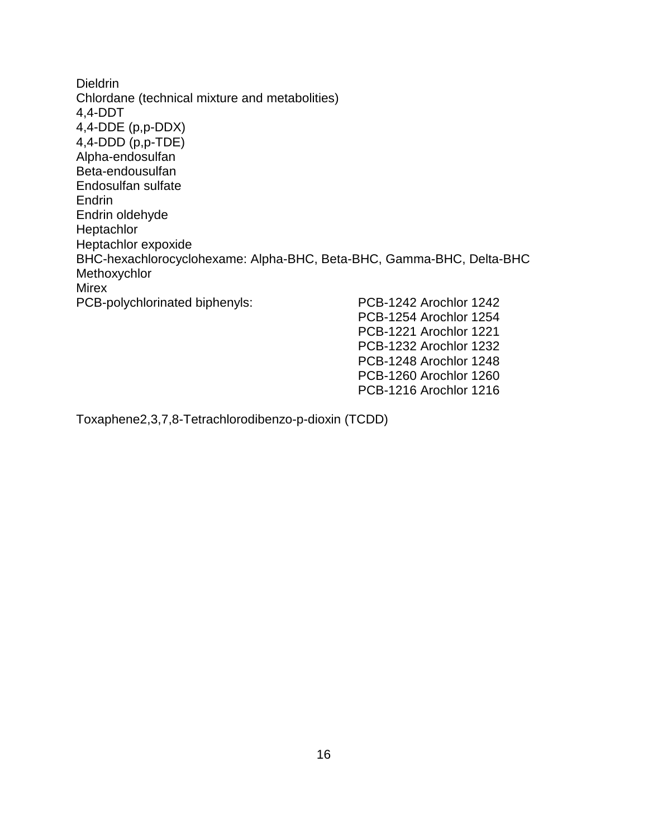Dieldrin Chlordane (technical mixture and metabolities) 4,4-DDT 4,4-DDE (p,p-DDX) 4,4-DDD (p,p-TDE) Alpha-endosulfan Beta-endousulfan Endosulfan sulfate **Endrin** Endrin oldehyde Heptachlor Heptachlor expoxide BHC-hexachlorocyclohexame: Alpha-BHC, Beta-BHC, Gamma-BHC, Delta-BHC Methoxychlor **Mirex** PCB-polychlorinated biphenyls: PCB-1242 Arochlor 1242 PCB-1254 Arochlor 1254 PCB-1221 Arochlor 1221 PCB-1232 Arochlor 1232

> PCB-1248 Arochlor 1248 PCB-1260 Arochlor 1260 PCB-1216 Arochlor 1216

Toxaphene2,3,7,8-Tetrachlorodibenzo-p-dioxin (TCDD)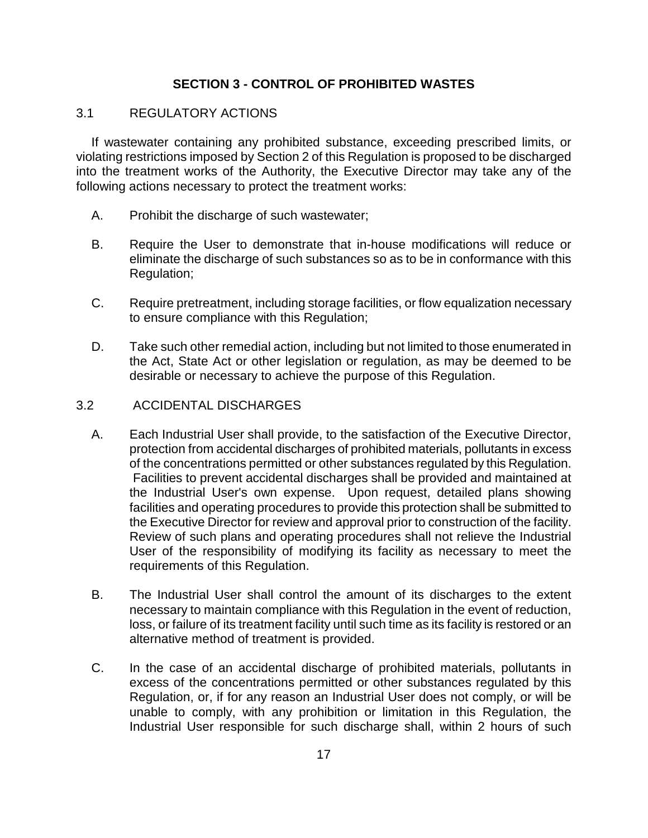# **SECTION 3 - CONTROL OF PROHIBITED WASTES**

#### 3.1 REGULATORY ACTIONS

If wastewater containing any prohibited substance, exceeding prescribed limits, or violating restrictions imposed by Section 2 of this Regulation is proposed to be discharged into the treatment works of the Authority, the Executive Director may take any of the following actions necessary to protect the treatment works:

- A. Prohibit the discharge of such wastewater;
- B. Require the User to demonstrate that in-house modifications will reduce or eliminate the discharge of such substances so as to be in conformance with this Regulation;
- C. Require pretreatment, including storage facilities, or flow equalization necessary to ensure compliance with this Regulation;
- D. Take such other remedial action, including but not limited to those enumerated in the Act, State Act or other legislation or regulation, as may be deemed to be desirable or necessary to achieve the purpose of this Regulation.

#### 3.2 ACCIDENTAL DISCHARGES

- A. Each Industrial User shall provide, to the satisfaction of the Executive Director, protection from accidental discharges of prohibited materials, pollutants in excess of the concentrations permitted or other substances regulated by this Regulation. Facilities to prevent accidental discharges shall be provided and maintained at the Industrial User's own expense. Upon request, detailed plans showing facilities and operating procedures to provide this protection shall be submitted to the Executive Director for review and approval prior to construction of the facility. Review of such plans and operating procedures shall not relieve the Industrial User of the responsibility of modifying its facility as necessary to meet the requirements of this Regulation.
- B. The Industrial User shall control the amount of its discharges to the extent necessary to maintain compliance with this Regulation in the event of reduction, loss, or failure of its treatment facility until such time as its facility is restored or an alternative method of treatment is provided.
- C. In the case of an accidental discharge of prohibited materials, pollutants in excess of the concentrations permitted or other substances regulated by this Regulation, or, if for any reason an Industrial User does not comply, or will be unable to comply, with any prohibition or limitation in this Regulation, the Industrial User responsible for such discharge shall, within 2 hours of such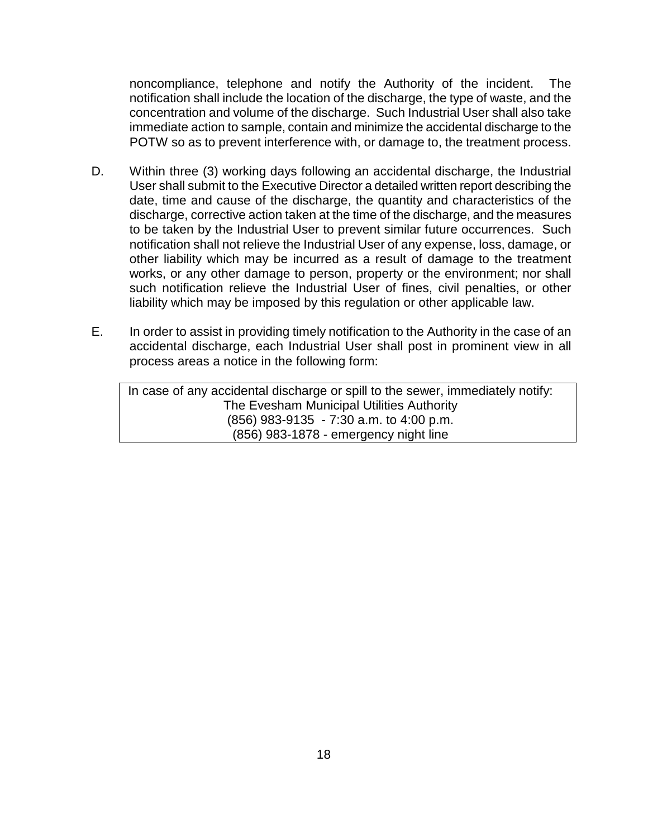noncompliance, telephone and notify the Authority of the incident. The notification shall include the location of the discharge, the type of waste, and the concentration and volume of the discharge. Such Industrial User shall also take immediate action to sample, contain and minimize the accidental discharge to the POTW so as to prevent interference with, or damage to, the treatment process.

- D. Within three (3) working days following an accidental discharge, the Industrial User shall submit to the Executive Director a detailed written report describing the date, time and cause of the discharge, the quantity and characteristics of the discharge, corrective action taken at the time of the discharge, and the measures to be taken by the Industrial User to prevent similar future occurrences. Such notification shall not relieve the Industrial User of any expense, loss, damage, or other liability which may be incurred as a result of damage to the treatment works, or any other damage to person, property or the environment; nor shall such notification relieve the Industrial User of fines, civil penalties, or other liability which may be imposed by this regulation or other applicable law.
- E. In order to assist in providing timely notification to the Authority in the case of an accidental discharge, each Industrial User shall post in prominent view in all process areas a notice in the following form:

In case of any accidental discharge or spill to the sewer, immediately notify: The Evesham Municipal Utilities Authority (856) 983-9135 - 7:30 a.m. to 4:00 p.m. (856) 983-1878 - emergency night line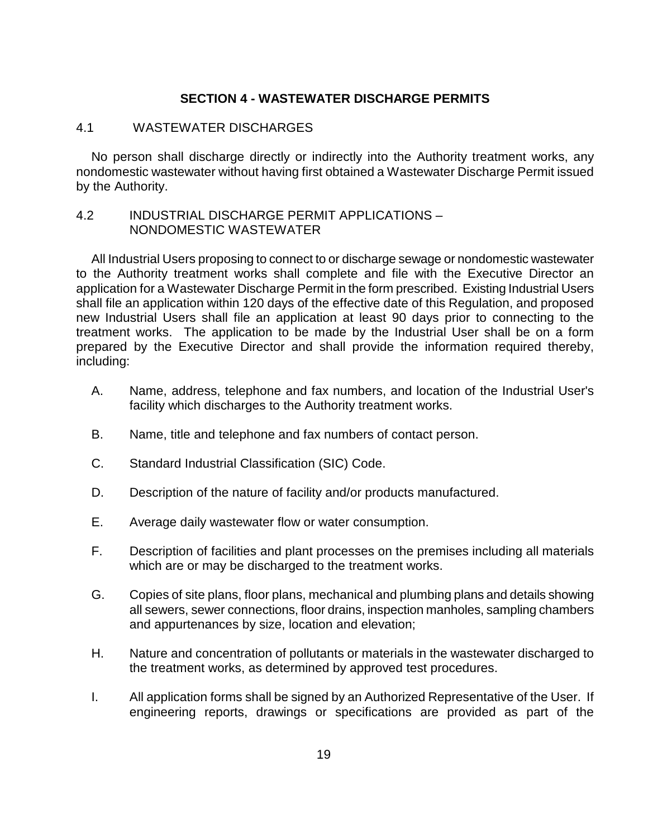#### **SECTION 4 - WASTEWATER DISCHARGE PERMITS**

#### 4.1 WASTEWATER DISCHARGES

No person shall discharge directly or indirectly into the Authority treatment works, any nondomestic wastewater without having first obtained a Wastewater Discharge Permit issued by the Authority.

#### 4.2 INDUSTRIAL DISCHARGE PERMIT APPLICATIONS – NONDOMESTIC WASTEWATER

All Industrial Users proposing to connect to or discharge sewage or nondomestic wastewater to the Authority treatment works shall complete and file with the Executive Director an application for a Wastewater Discharge Permit in the form prescribed. Existing Industrial Users shall file an application within 120 days of the effective date of this Regulation, and proposed new Industrial Users shall file an application at least 90 days prior to connecting to the treatment works. The application to be made by the Industrial User shall be on a form prepared by the Executive Director and shall provide the information required thereby, including:

- A. Name, address, telephone and fax numbers, and location of the Industrial User's facility which discharges to the Authority treatment works.
- B. Name, title and telephone and fax numbers of contact person.
- C. Standard Industrial Classification (SIC) Code.
- D. Description of the nature of facility and/or products manufactured.
- E. Average daily wastewater flow or water consumption.
- F. Description of facilities and plant processes on the premises including all materials which are or may be discharged to the treatment works.
- G. Copies of site plans, floor plans, mechanical and plumbing plans and details showing all sewers, sewer connections, floor drains, inspection manholes, sampling chambers and appurtenances by size, location and elevation;
- H. Nature and concentration of pollutants or materials in the wastewater discharged to the treatment works, as determined by approved test procedures.
- I. All application forms shall be signed by an Authorized Representative of the User. If engineering reports, drawings or specifications are provided as part of the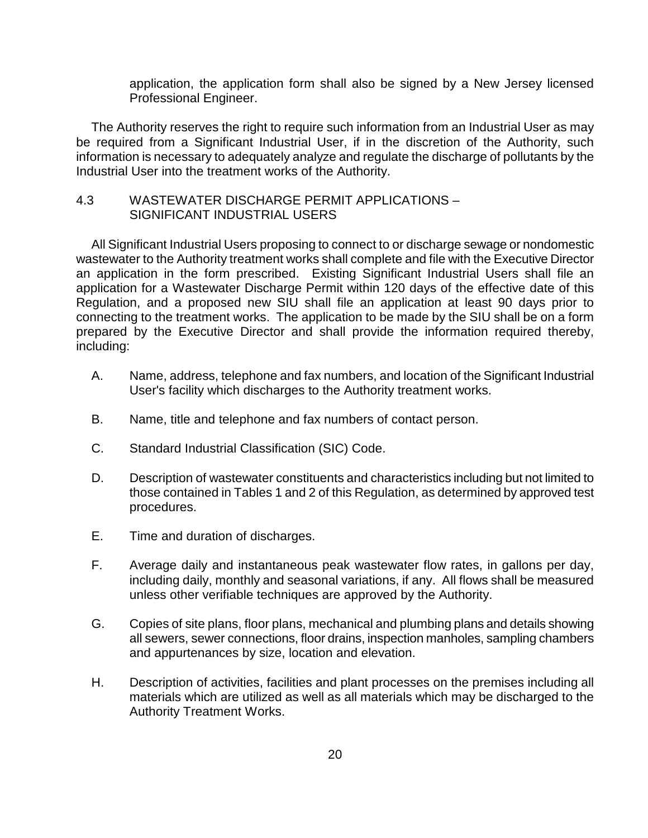application, the application form shall also be signed by a New Jersey licensed Professional Engineer.

The Authority reserves the right to require such information from an Industrial User as may be required from a Significant Industrial User, if in the discretion of the Authority, such information is necessary to adequately analyze and regulate the discharge of pollutants by the Industrial User into the treatment works of the Authority.

#### 4.3 WASTEWATER DISCHARGE PERMIT APPLICATIONS – SIGNIFICANT INDUSTRIAL USERS

All Significant Industrial Users proposing to connect to or discharge sewage or nondomestic wastewater to the Authority treatment works shall complete and file with the Executive Director an application in the form prescribed. Existing Significant Industrial Users shall file an application for a Wastewater Discharge Permit within 120 days of the effective date of this Regulation, and a proposed new SIU shall file an application at least 90 days prior to connecting to the treatment works. The application to be made by the SIU shall be on a form prepared by the Executive Director and shall provide the information required thereby, including:

- A. Name, address, telephone and fax numbers, and location of the Significant Industrial User's facility which discharges to the Authority treatment works.
- B. Name, title and telephone and fax numbers of contact person.
- C. Standard Industrial Classification (SIC) Code.
- D. Description of wastewater constituents and characteristics including but not limited to those contained in Tables 1 and 2 of this Regulation, as determined by approved test procedures.
- E. Time and duration of discharges.
- F. Average daily and instantaneous peak wastewater flow rates, in gallons per day, including daily, monthly and seasonal variations, if any. All flows shall be measured unless other verifiable techniques are approved by the Authority.
- G. Copies of site plans, floor plans, mechanical and plumbing plans and details showing all sewers, sewer connections, floor drains, inspection manholes, sampling chambers and appurtenances by size, location and elevation.
- H. Description of activities, facilities and plant processes on the premises including all materials which are utilized as well as all materials which may be discharged to the Authority Treatment Works.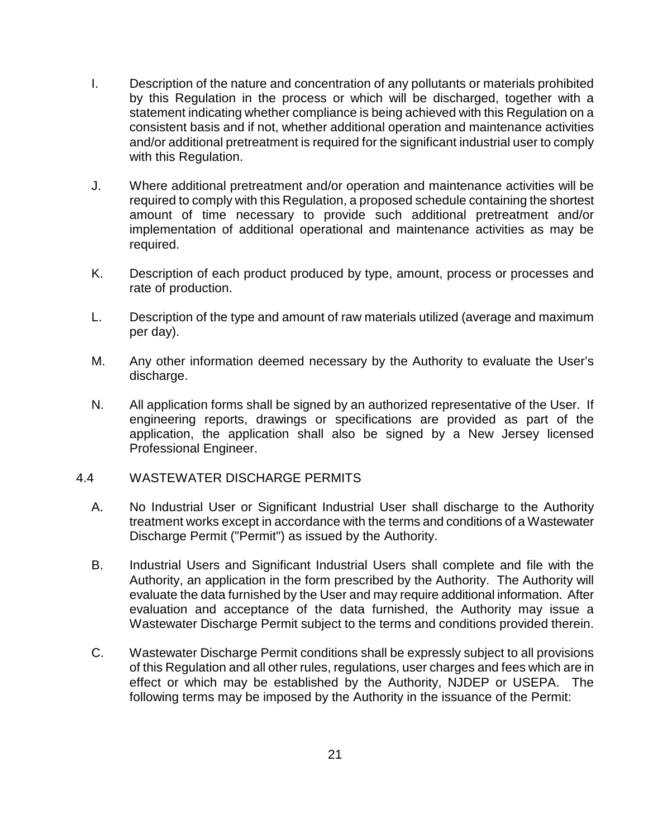- I. Description of the nature and concentration of any pollutants or materials prohibited by this Regulation in the process or which will be discharged, together with a statement indicating whether compliance is being achieved with this Regulation on a consistent basis and if not, whether additional operation and maintenance activities and/or additional pretreatment is required for the significant industrial user to comply with this Regulation.
- J. Where additional pretreatment and/or operation and maintenance activities will be required to comply with this Regulation, a proposed schedule containing the shortest amount of time necessary to provide such additional pretreatment and/or implementation of additional operational and maintenance activities as may be required.
- K. Description of each product produced by type, amount, process or processes and rate of production.
- L. Description of the type and amount of raw materials utilized (average and maximum per day).
- M. Any other information deemed necessary by the Authority to evaluate the User's discharge.
- N. All application forms shall be signed by an authorized representative of the User. If engineering reports, drawings or specifications are provided as part of the application, the application shall also be signed by a New Jersey licensed Professional Engineer.

#### 4.4 WASTEWATER DISCHARGE PERMITS

- A. No Industrial User or Significant Industrial User shall discharge to the Authority treatment works except in accordance with the terms and conditions of a Wastewater Discharge Permit ("Permit") as issued by the Authority.
- B. Industrial Users and Significant Industrial Users shall complete and file with the Authority, an application in the form prescribed by the Authority. The Authority will evaluate the data furnished by the User and may require additional information. After evaluation and acceptance of the data furnished, the Authority may issue a Wastewater Discharge Permit subject to the terms and conditions provided therein.
- C. Wastewater Discharge Permit conditions shall be expressly subject to all provisions of this Regulation and all other rules, regulations, user charges and fees which are in effect or which may be established by the Authority, NJDEP or USEPA. The following terms may be imposed by the Authority in the issuance of the Permit: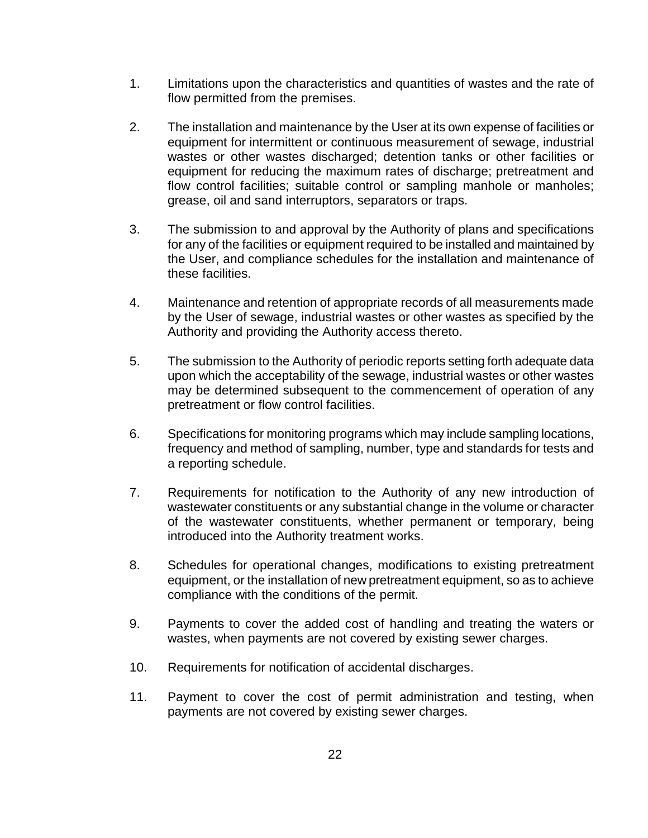- 1. Limitations upon the characteristics and quantities of wastes and the rate of flow permitted from the premises.
- 2. The installation and maintenance by the User at its own expense of facilities or equipment for intermittent or continuous measurement of sewage, industrial wastes or other wastes discharged; detention tanks or other facilities or equipment for reducing the maximum rates of discharge; pretreatment and flow control facilities; suitable control or sampling manhole or manholes; grease, oil and sand interruptors, separators or traps.
- 3. The submission to and approval by the Authority of plans and specifications for any of the facilities or equipment required to be installed and maintained by the User, and compliance schedules for the installation and maintenance of these facilities.
- 4. Maintenance and retention of appropriate records of all measurements made by the User of sewage, industrial wastes or other wastes as specified by the Authority and providing the Authority access thereto.
- 5. The submission to the Authority of periodic reports setting forth adequate data upon which the acceptability of the sewage, industrial wastes or other wastes may be determined subsequent to the commencement of operation of any pretreatment or flow control facilities.
- 6. Specifications for monitoring programs which may include sampling locations, frequency and method of sampling, number, type and standards for tests and a reporting schedule.
- 7. Requirements for notification to the Authority of any new introduction of wastewater constituents or any substantial change in the volume or character of the wastewater constituents, whether permanent or temporary, being introduced into the Authority treatment works.
- 8. Schedules for operational changes, modifications to existing pretreatment equipment, or the installation of new pretreatment equipment, so as to achieve compliance with the conditions of the permit.
- 9. Payments to cover the added cost of handling and treating the waters or wastes, when payments are not covered by existing sewer charges.
- 10. Requirements for notification of accidental discharges.
- 11. Payment to cover the cost of permit administration and testing, when payments are not covered by existing sewer charges.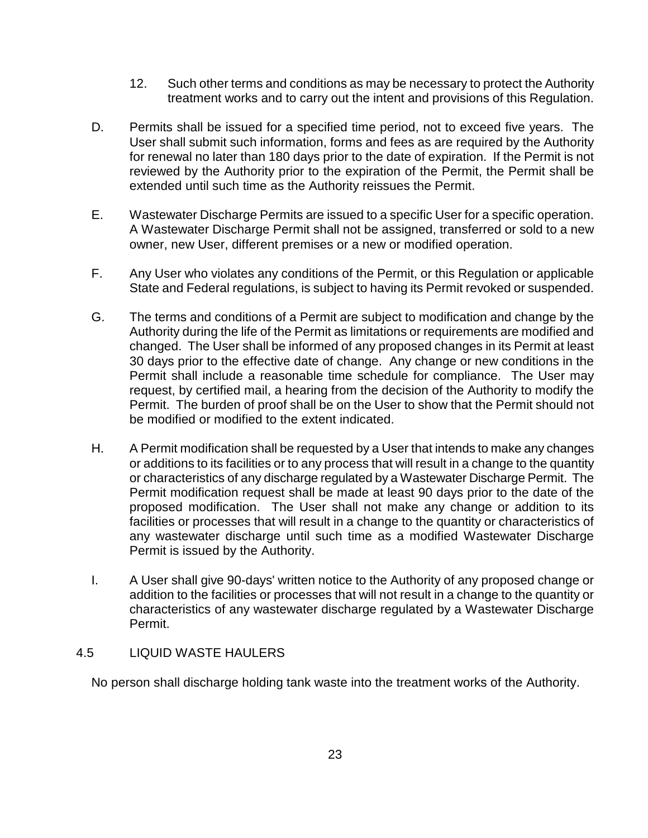- 12. Such other terms and conditions as may be necessary to protect the Authority treatment works and to carry out the intent and provisions of this Regulation.
- D. Permits shall be issued for a specified time period, not to exceed five years. The User shall submit such information, forms and fees as are required by the Authority for renewal no later than 180 days prior to the date of expiration. If the Permit is not reviewed by the Authority prior to the expiration of the Permit, the Permit shall be extended until such time as the Authority reissues the Permit.
- E. Wastewater Discharge Permits are issued to a specific User for a specific operation. A Wastewater Discharge Permit shall not be assigned, transferred or sold to a new owner, new User, different premises or a new or modified operation.
- F. Any User who violates any conditions of the Permit, or this Regulation or applicable State and Federal regulations, is subject to having its Permit revoked or suspended.
- G. The terms and conditions of a Permit are subject to modification and change by the Authority during the life of the Permit as limitations or requirements are modified and changed. The User shall be informed of any proposed changes in its Permit at least 30 days prior to the effective date of change. Any change or new conditions in the Permit shall include a reasonable time schedule for compliance. The User may request, by certified mail, a hearing from the decision of the Authority to modify the Permit. The burden of proof shall be on the User to show that the Permit should not be modified or modified to the extent indicated.
- H. A Permit modification shall be requested by a User that intends to make any changes or additions to its facilities or to any process that will result in a change to the quantity or characteristics of any discharge regulated by a Wastewater Discharge Permit. The Permit modification request shall be made at least 90 days prior to the date of the proposed modification. The User shall not make any change or addition to its facilities or processes that will result in a change to the quantity or characteristics of any wastewater discharge until such time as a modified Wastewater Discharge Permit is issued by the Authority.
- I. A User shall give 90-days' written notice to the Authority of any proposed change or addition to the facilities or processes that will not result in a change to the quantity or characteristics of any wastewater discharge regulated by a Wastewater Discharge Permit.

# 4.5 LIQUID WASTE HAULERS

No person shall discharge holding tank waste into the treatment works of the Authority.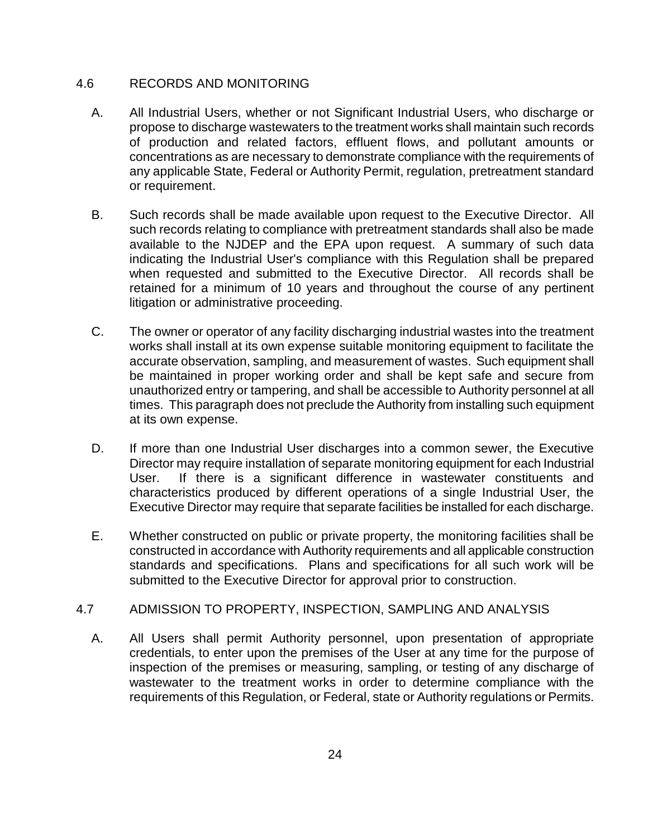# 4.6 RECORDS AND MONITORING

- A. All Industrial Users, whether or not Significant Industrial Users, who discharge or propose to discharge wastewaters to the treatment works shall maintain such records of production and related factors, effluent flows, and pollutant amounts or concentrations as are necessary to demonstrate compliance with the requirements of any applicable State, Federal or Authority Permit, regulation, pretreatment standard or requirement.
- B. Such records shall be made available upon request to the Executive Director. All such records relating to compliance with pretreatment standards shall also be made available to the NJDEP and the EPA upon request. A summary of such data indicating the Industrial User's compliance with this Regulation shall be prepared when requested and submitted to the Executive Director. All records shall be retained for a minimum of 10 years and throughout the course of any pertinent litigation or administrative proceeding.
- C. The owner or operator of any facility discharging industrial wastes into the treatment works shall install at its own expense suitable monitoring equipment to facilitate the accurate observation, sampling, and measurement of wastes. Such equipment shall be maintained in proper working order and shall be kept safe and secure from unauthorized entry or tampering, and shall be accessible to Authority personnel at all times. This paragraph does not preclude the Authority from installing such equipment at its own expense.
- D. If more than one Industrial User discharges into a common sewer, the Executive Director may require installation of separate monitoring equipment for each Industrial User. If there is a significant difference in wastewater constituents and characteristics produced by different operations of a single Industrial User, the Executive Director may require that separate facilities be installed for each discharge.
- E. Whether constructed on public or private property, the monitoring facilities shall be constructed in accordance with Authority requirements and all applicable construction standards and specifications. Plans and specifications for all such work will be submitted to the Executive Director for approval prior to construction.

# 4.7 ADMISSION TO PROPERTY, INSPECTION, SAMPLING AND ANALYSIS

A. All Users shall permit Authority personnel, upon presentation of appropriate credentials, to enter upon the premises of the User at any time for the purpose of inspection of the premises or measuring, sampling, or testing of any discharge of wastewater to the treatment works in order to determine compliance with the requirements of this Regulation, or Federal, state or Authority regulations or Permits.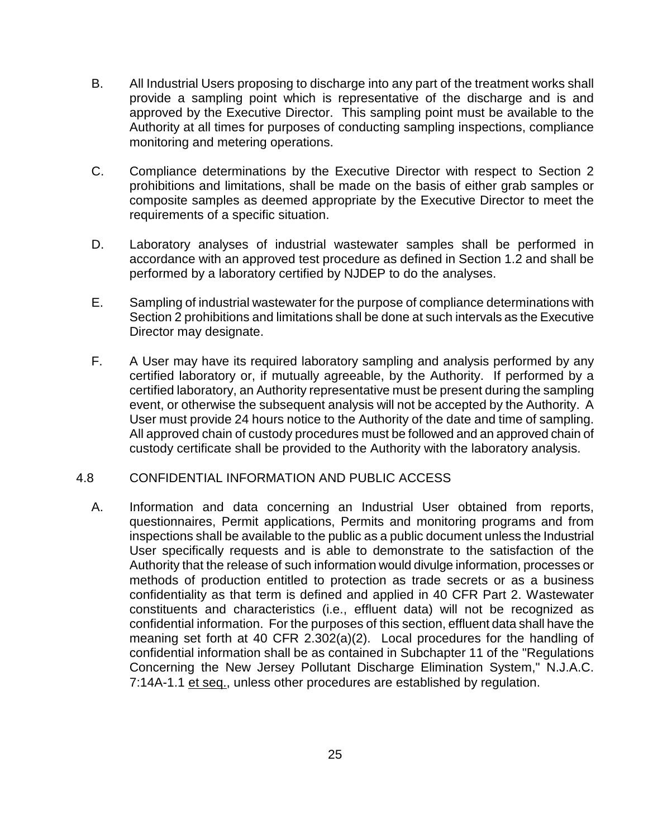- B. All Industrial Users proposing to discharge into any part of the treatment works shall provide a sampling point which is representative of the discharge and is and approved by the Executive Director. This sampling point must be available to the Authority at all times for purposes of conducting sampling inspections, compliance monitoring and metering operations.
- C. Compliance determinations by the Executive Director with respect to Section 2 prohibitions and limitations, shall be made on the basis of either grab samples or composite samples as deemed appropriate by the Executive Director to meet the requirements of a specific situation.
- D. Laboratory analyses of industrial wastewater samples shall be performed in accordance with an approved test procedure as defined in Section 1.2 and shall be performed by a laboratory certified by NJDEP to do the analyses.
- E. Sampling of industrial wastewater for the purpose of compliance determinations with Section 2 prohibitions and limitations shall be done at such intervals as the Executive Director may designate.
- F. A User may have its required laboratory sampling and analysis performed by any certified laboratory or, if mutually agreeable, by the Authority. If performed by a certified laboratory, an Authority representative must be present during the sampling event, or otherwise the subsequent analysis will not be accepted by the Authority. A User must provide 24 hours notice to the Authority of the date and time of sampling. All approved chain of custody procedures must be followed and an approved chain of custody certificate shall be provided to the Authority with the laboratory analysis.

# 4.8 CONFIDENTIAL INFORMATION AND PUBLIC ACCESS

A. Information and data concerning an Industrial User obtained from reports, questionnaires, Permit applications, Permits and monitoring programs and from inspections shall be available to the public as a public document unless the Industrial User specifically requests and is able to demonstrate to the satisfaction of the Authority that the release of such information would divulge information, processes or methods of production entitled to protection as trade secrets or as a business confidentiality as that term is defined and applied in 40 CFR Part 2. Wastewater constituents and characteristics (i.e., effluent data) will not be recognized as confidential information. For the purposes of this section, effluent data shall have the meaning set forth at 40 CFR 2.302(a)(2). Local procedures for the handling of confidential information shall be as contained in Subchapter 11 of the "Regulations Concerning the New Jersey Pollutant Discharge Elimination System," N.J.A.C. 7:14A-1.1 et seq., unless other procedures are established by regulation.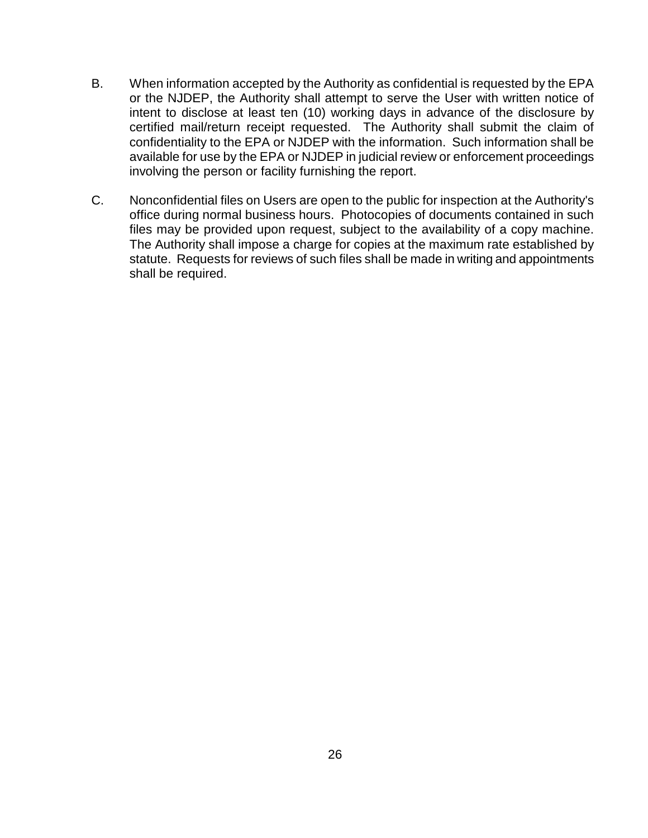- B. When information accepted by the Authority as confidential is requested by the EPA or the NJDEP, the Authority shall attempt to serve the User with written notice of intent to disclose at least ten (10) working days in advance of the disclosure by certified mail/return receipt requested. The Authority shall submit the claim of confidentiality to the EPA or NJDEP with the information. Such information shall be available for use by the EPA or NJDEP in judicial review or enforcement proceedings involving the person or facility furnishing the report.
- C. Nonconfidential files on Users are open to the public for inspection at the Authority's office during normal business hours. Photocopies of documents contained in such files may be provided upon request, subject to the availability of a copy machine. The Authority shall impose a charge for copies at the maximum rate established by statute. Requests for reviews of such files shall be made in writing and appointments shall be required.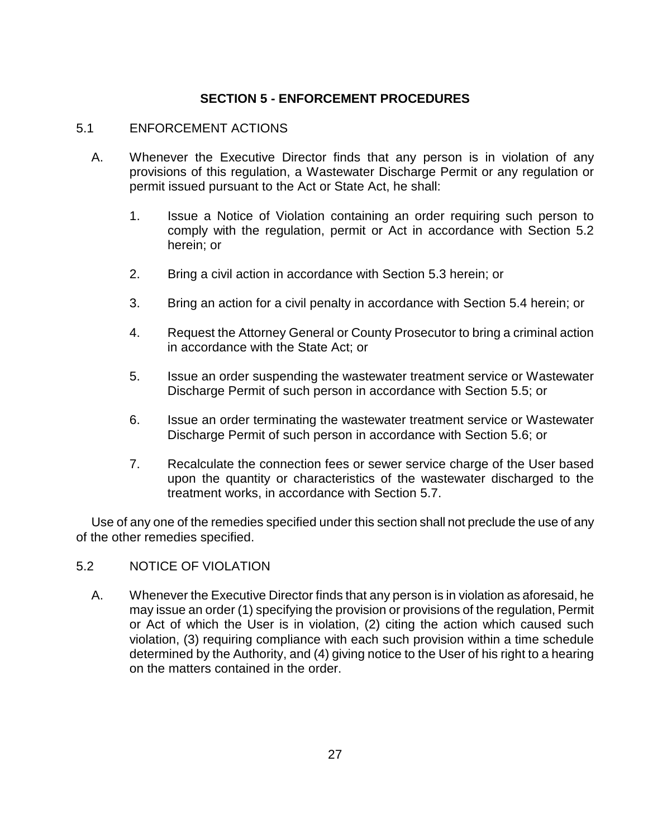# **SECTION 5 - ENFORCEMENT PROCEDURES**

#### 5.1 ENFORCEMENT ACTIONS

- A. Whenever the Executive Director finds that any person is in violation of any provisions of this regulation, a Wastewater Discharge Permit or any regulation or permit issued pursuant to the Act or State Act, he shall:
	- 1. Issue a Notice of Violation containing an order requiring such person to comply with the regulation, permit or Act in accordance with Section 5.2 herein; or
	- 2. Bring a civil action in accordance with Section 5.3 herein; or
	- 3. Bring an action for a civil penalty in accordance with Section 5.4 herein; or
	- 4. Request the Attorney General or County Prosecutor to bring a criminal action in accordance with the State Act; or
	- 5. Issue an order suspending the wastewater treatment service or Wastewater Discharge Permit of such person in accordance with Section 5.5; or
	- 6. Issue an order terminating the wastewater treatment service or Wastewater Discharge Permit of such person in accordance with Section 5.6; or
	- 7. Recalculate the connection fees or sewer service charge of the User based upon the quantity or characteristics of the wastewater discharged to the treatment works, in accordance with Section 5.7.

Use of any one of the remedies specified under this section shall not preclude the use of any of the other remedies specified.

# 5.2 NOTICE OF VIOLATION

A. Whenever the Executive Director finds that any person is in violation as aforesaid, he may issue an order (1) specifying the provision or provisions of the regulation, Permit or Act of which the User is in violation, (2) citing the action which caused such violation, (3) requiring compliance with each such provision within a time schedule determined by the Authority, and (4) giving notice to the User of his right to a hearing on the matters contained in the order.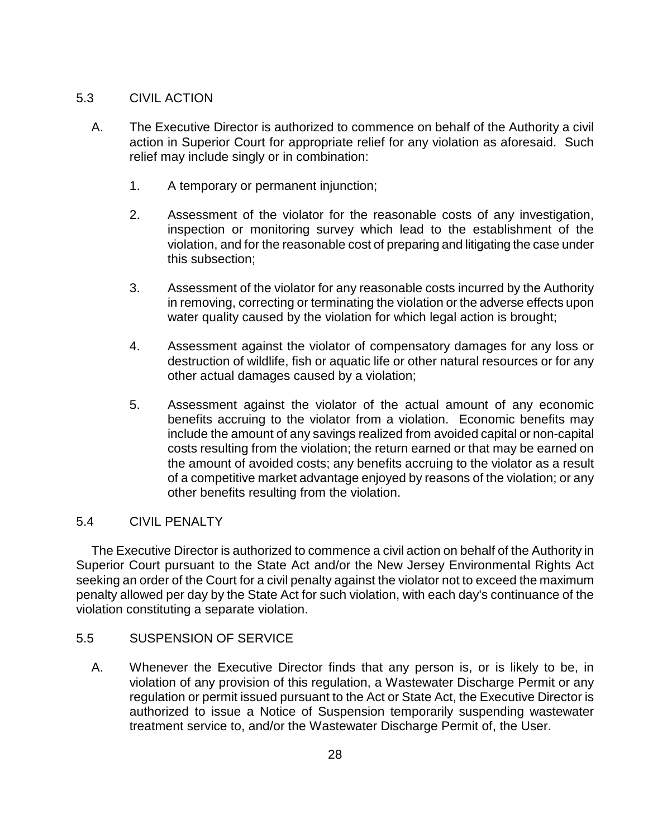# 5.3 CIVIL ACTION

- A. The Executive Director is authorized to commence on behalf of the Authority a civil action in Superior Court for appropriate relief for any violation as aforesaid. Such relief may include singly or in combination:
	- 1. A temporary or permanent injunction;
	- 2. Assessment of the violator for the reasonable costs of any investigation, inspection or monitoring survey which lead to the establishment of the violation, and for the reasonable cost of preparing and litigating the case under this subsection;
	- 3. Assessment of the violator for any reasonable costs incurred by the Authority in removing, correcting or terminating the violation or the adverse effects upon water quality caused by the violation for which legal action is brought;
	- 4. Assessment against the violator of compensatory damages for any loss or destruction of wildlife, fish or aquatic life or other natural resources or for any other actual damages caused by a violation;
	- 5. Assessment against the violator of the actual amount of any economic benefits accruing to the violator from a violation. Economic benefits may include the amount of any savings realized from avoided capital or non-capital costs resulting from the violation; the return earned or that may be earned on the amount of avoided costs; any benefits accruing to the violator as a result of a competitive market advantage enjoyed by reasons of the violation; or any other benefits resulting from the violation.

# 5.4 CIVIL PENALTY

The Executive Director is authorized to commence a civil action on behalf of the Authority in Superior Court pursuant to the State Act and/or the New Jersey Environmental Rights Act seeking an order of the Court for a civil penalty against the violator not to exceed the maximum penalty allowed per day by the State Act for such violation, with each day's continuance of the violation constituting a separate violation.

#### 5.5 SUSPENSION OF SERVICE

A. Whenever the Executive Director finds that any person is, or is likely to be, in violation of any provision of this regulation, a Wastewater Discharge Permit or any regulation or permit issued pursuant to the Act or State Act, the Executive Director is authorized to issue a Notice of Suspension temporarily suspending wastewater treatment service to, and/or the Wastewater Discharge Permit of, the User.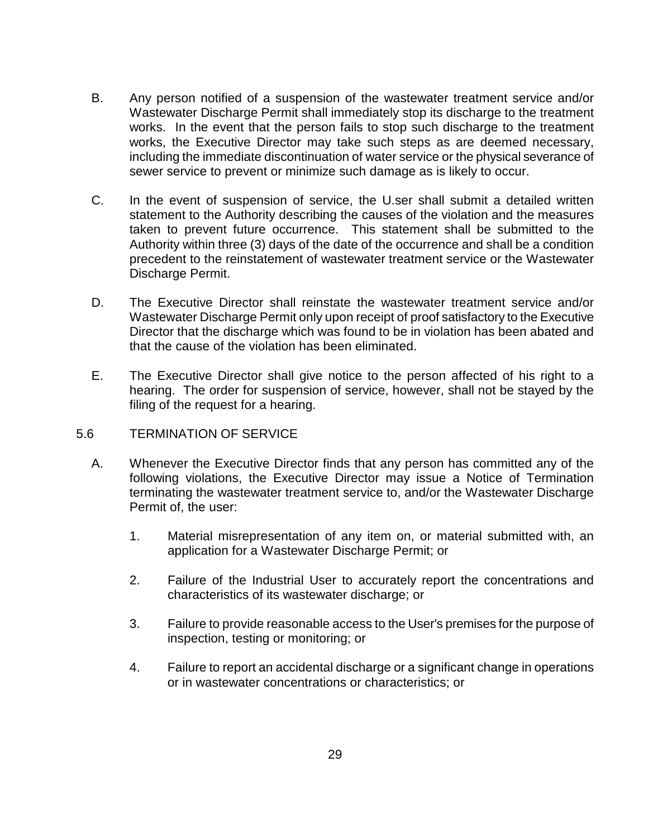- B. Any person notified of a suspension of the wastewater treatment service and/or Wastewater Discharge Permit shall immediately stop its discharge to the treatment works. In the event that the person fails to stop such discharge to the treatment works, the Executive Director may take such steps as are deemed necessary, including the immediate discontinuation of water service or the physical severance of sewer service to prevent or minimize such damage as is likely to occur.
- C. In the event of suspension of service, the U.ser shall submit a detailed written statement to the Authority describing the causes of the violation and the measures taken to prevent future occurrence. This statement shall be submitted to the Authority within three (3) days of the date of the occurrence and shall be a condition precedent to the reinstatement of wastewater treatment service or the Wastewater Discharge Permit.
- D. The Executive Director shall reinstate the wastewater treatment service and/or Wastewater Discharge Permit only upon receipt of proof satisfactory to the Executive Director that the discharge which was found to be in violation has been abated and that the cause of the violation has been eliminated.
- E. The Executive Director shall give notice to the person affected of his right to a hearing. The order for suspension of service, however, shall not be stayed by the filing of the request for a hearing.

#### 5.6 TERMINATION OF SERVICE

- A. Whenever the Executive Director finds that any person has committed any of the following violations, the Executive Director may issue a Notice of Termination terminating the wastewater treatment service to, and/or the Wastewater Discharge Permit of, the user:
	- 1. Material misrepresentation of any item on, or material submitted with, an application for a Wastewater Discharge Permit; or
	- 2. Failure of the Industrial User to accurately report the concentrations and characteristics of its wastewater discharge; or
	- 3. Failure to provide reasonable access to the User's premises for the purpose of inspection, testing or monitoring; or
	- 4. Failure to report an accidental discharge or a significant change in operations or in wastewater concentrations or characteristics; or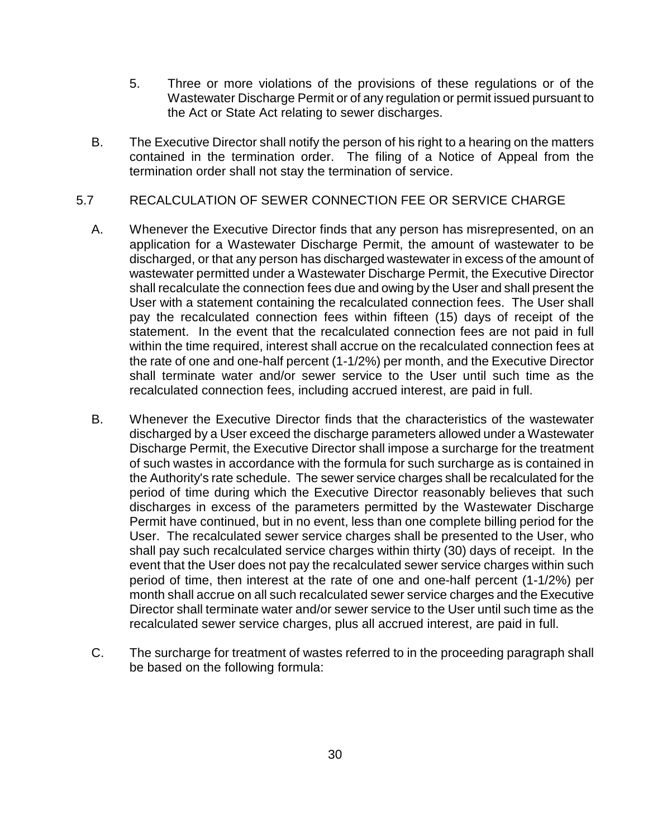- 5. Three or more violations of the provisions of these regulations or of the Wastewater Discharge Permit or of any regulation or permit issued pursuant to the Act or State Act relating to sewer discharges.
- B. The Executive Director shall notify the person of his right to a hearing on the matters contained in the termination order. The filing of a Notice of Appeal from the termination order shall not stay the termination of service.

# 5.7 RECALCULATION OF SEWER CONNECTION FEE OR SERVICE CHARGE

- A. Whenever the Executive Director finds that any person has misrepresented, on an application for a Wastewater Discharge Permit, the amount of wastewater to be discharged, or that any person has discharged wastewater in excess of the amount of wastewater permitted under a Wastewater Discharge Permit, the Executive Director shall recalculate the connection fees due and owing by the User and shall present the User with a statement containing the recalculated connection fees. The User shall pay the recalculated connection fees within fifteen (15) days of receipt of the statement. In the event that the recalculated connection fees are not paid in full within the time required, interest shall accrue on the recalculated connection fees at the rate of one and one-half percent (1-1/2%) per month, and the Executive Director shall terminate water and/or sewer service to the User until such time as the recalculated connection fees, including accrued interest, are paid in full.
- B. Whenever the Executive Director finds that the characteristics of the wastewater discharged by a User exceed the discharge parameters allowed under a Wastewater Discharge Permit, the Executive Director shall impose a surcharge for the treatment of such wastes in accordance with the formula for such surcharge as is contained in the Authority's rate schedule. The sewer service charges shall be recalculated for the period of time during which the Executive Director reasonably believes that such discharges in excess of the parameters permitted by the Wastewater Discharge Permit have continued, but in no event, less than one complete billing period for the User. The recalculated sewer service charges shall be presented to the User, who shall pay such recalculated service charges within thirty (30) days of receipt. In the event that the User does not pay the recalculated sewer service charges within such period of time, then interest at the rate of one and one-half percent (1-1/2%) per month shall accrue on all such recalculated sewer service charges and the Executive Director shall terminate water and/or sewer service to the User until such time as the recalculated sewer service charges, plus all accrued interest, are paid in full.
- C. The surcharge for treatment of wastes referred to in the proceeding paragraph shall be based on the following formula: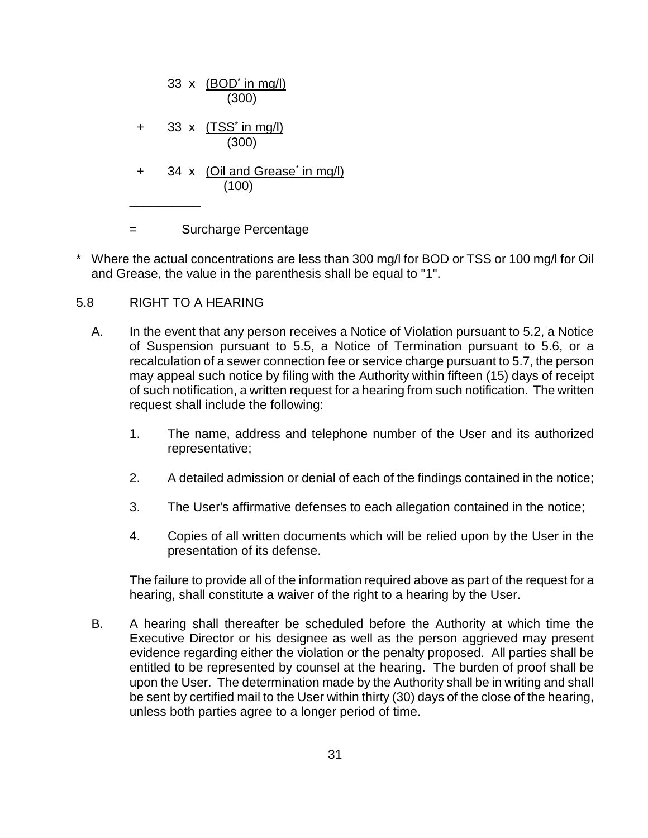|     | 33 x $(BOD'$ in mg/l)<br>(300)                      |
|-----|-----------------------------------------------------|
| $+$ | 33 x (TSS' in mg/l)<br>(300)                        |
| $+$ | 34 x (Oil and Grease <sup>*</sup> in mg/l)<br>(100) |
|     | Surcharge Percentage                                |

\* Where the actual concentrations are less than 300 mg/l for BOD or TSS or 100 mg/l for Oil and Grease, the value in the parenthesis shall be equal to "1".

# 5.8 RIGHT TO A HEARING

- A. In the event that any person receives a Notice of Violation pursuant to 5.2, a Notice of Suspension pursuant to 5.5, a Notice of Termination pursuant to 5.6, or a recalculation of a sewer connection fee or service charge pursuant to 5.7, the person may appeal such notice by filing with the Authority within fifteen (15) days of receipt of such notification, a written request for a hearing from such notification. The written request shall include the following:
	- 1. The name, address and telephone number of the User and its authorized representative;
	- 2. A detailed admission or denial of each of the findings contained in the notice;
	- 3. The User's affirmative defenses to each allegation contained in the notice;
	- 4. Copies of all written documents which will be relied upon by the User in the presentation of its defense.

The failure to provide all of the information required above as part of the request for a hearing, shall constitute a waiver of the right to a hearing by the User.

B. A hearing shall thereafter be scheduled before the Authority at which time the Executive Director or his designee as well as the person aggrieved may present evidence regarding either the violation or the penalty proposed. All parties shall be entitled to be represented by counsel at the hearing. The burden of proof shall be upon the User. The determination made by the Authority shall be in writing and shall be sent by certified mail to the User within thirty (30) days of the close of the hearing, unless both parties agree to a longer period of time.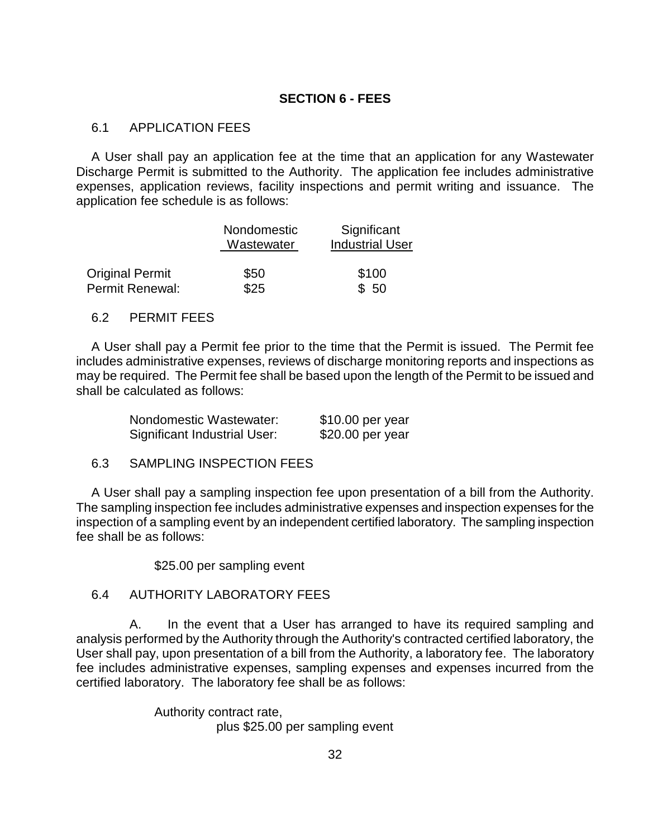#### **SECTION 6 - FEES**

#### 6.1 APPLICATION FEES

A User shall pay an application fee at the time that an application for any Wastewater Discharge Permit is submitted to the Authority. The application fee includes administrative expenses, application reviews, facility inspections and permit writing and issuance. The application fee schedule is as follows:

|                        | Nondomestic<br>Wastewater | Significant<br><b>Industrial User</b> |
|------------------------|---------------------------|---------------------------------------|
| <b>Original Permit</b> | \$50                      | \$100                                 |
| Permit Renewal:        | \$25                      | \$50                                  |

#### 6.2 PERMIT FEES

A User shall pay a Permit fee prior to the time that the Permit is issued. The Permit fee includes administrative expenses, reviews of discharge monitoring reports and inspections as may be required. The Permit fee shall be based upon the length of the Permit to be issued and shall be calculated as follows:

| Nondomestic Wastewater:             | $$10.00$ per year |
|-------------------------------------|-------------------|
| <b>Significant Industrial User:</b> | \$20.00 per year  |

6.3 SAMPLING INSPECTION FEES

A User shall pay a sampling inspection fee upon presentation of a bill from the Authority. The sampling inspection fee includes administrative expenses and inspection expenses for the inspection of a sampling event by an independent certified laboratory. The sampling inspection fee shall be as follows:

\$25.00 per sampling event

#### 6.4 AUTHORITY LABORATORY FEES

A. In the event that a User has arranged to have its required sampling and analysis performed by the Authority through the Authority's contracted certified laboratory, the User shall pay, upon presentation of a bill from the Authority, a laboratory fee. The laboratory fee includes administrative expenses, sampling expenses and expenses incurred from the certified laboratory. The laboratory fee shall be as follows:

> Authority contract rate, plus \$25.00 per sampling event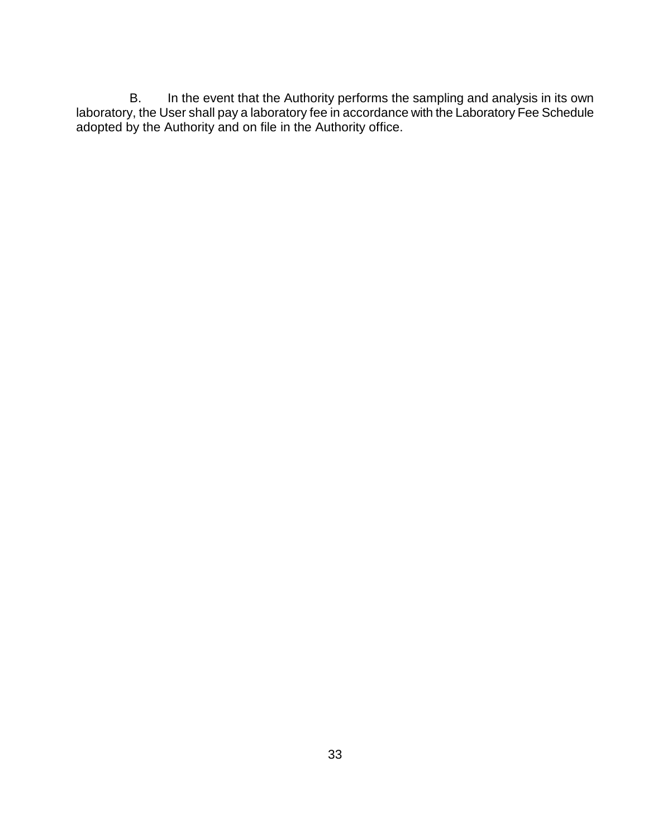B. In the event that the Authority performs the sampling and analysis in its own laboratory, the User shall pay a laboratory fee in accordance with the Laboratory Fee Schedule adopted by the Authority and on file in the Authority office.